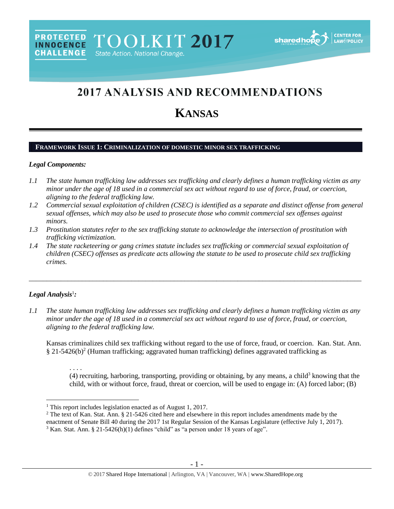# 2017 ANALYSIS AND RECOMMENDATIONS

## **KANSAS**

#### **FRAMEWORK ISSUE 1: CRIMINALIZATION OF DOMESTIC MINOR SEX TRAFFICKING**

#### *Legal Components:*

- *1.1 The state human trafficking law addresses sex trafficking and clearly defines a human trafficking victim as any minor under the age of 18 used in a commercial sex act without regard to use of force, fraud, or coercion, aligning to the federal trafficking law.*
- *1.2 Commercial sexual exploitation of children (CSEC) is identified as a separate and distinct offense from general sexual offenses, which may also be used to prosecute those who commit commercial sex offenses against minors.*
- *1.3 Prostitution statutes refer to the sex trafficking statute to acknowledge the intersection of prostitution with trafficking victimization.*
- *1.4 The state racketeering or gang crimes statute includes sex trafficking or commercial sexual exploitation of children (CSEC) offenses as predicate acts allowing the statute to be used to prosecute child sex trafficking crimes.*

## *Legal Analysis*<sup>1</sup> *:*

 $\overline{a}$ 

*1.1 The state human trafficking law addresses sex trafficking and clearly defines a human trafficking victim as any minor under the age of 18 used in a commercial sex act without regard to use of force, fraud, or coercion, aligning to the federal trafficking law.*

\_\_\_\_\_\_\_\_\_\_\_\_\_\_\_\_\_\_\_\_\_\_\_\_\_\_\_\_\_\_\_\_\_\_\_\_\_\_\_\_\_\_\_\_\_\_\_\_\_\_\_\_\_\_\_\_\_\_\_\_\_\_\_\_\_\_\_\_\_\_\_\_\_\_\_\_\_\_\_\_\_\_\_\_\_\_\_\_\_\_\_\_\_\_

Kansas criminalizes child sex trafficking without regard to the use of force, fraud, or coercion. Kan. Stat. Ann.  $\S 21-5426(b)^2$  (Human trafficking; aggravated human trafficking) defines aggravated trafficking as

<span id="page-0-0"></span>. . . . (4) recruiting, harboring, transporting, providing or obtaining, by any means, a child<sup>3</sup> knowing that the child, with or without force, fraud, threat or coercion, will be used to engage in: (A) forced labor; (B)

<sup>&</sup>lt;sup>1</sup> This report includes legislation enacted as of August 1, 2017.

<sup>&</sup>lt;sup>2</sup> The text of Kan. Stat. Ann. § 21-5426 cited here and elsewhere in this report includes amendments made by the

enactment of Senate Bill 40 during the 2017 1st Regular Session of the Kansas Legislature (effective July 1, 2017).

 $3$  Kan. Stat. Ann. § 21-5426(h)(1) defines "child" as "a person under 18 years of age".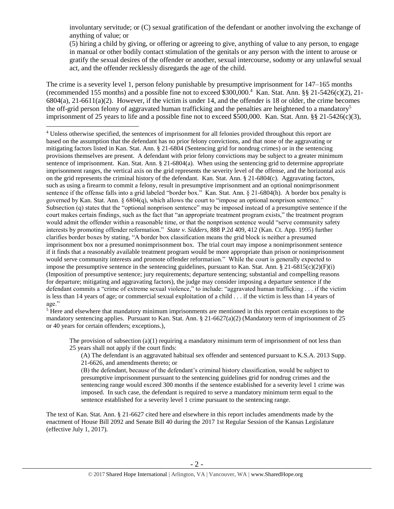involuntary servitude; or (C) sexual gratification of the defendant or another involving the exchange of anything of value; or

<span id="page-1-0"></span>(5) hiring a child by giving, or offering or agreeing to give, anything of value to any person, to engage in manual or other bodily contact stimulation of the genitals or any person with the intent to arouse or gratify the sexual desires of the offender or another, sexual intercourse, sodomy or any unlawful sexual act, and the offender recklessly disregards the age of the child.

The crime is a severity level 1, person felony punishable by presumptive imprisonment for 147–165 months (recommended 155 months) and a possible fine not to exceed \$300,000.<sup>4</sup> Kan. Stat. Ann. §§ 21-5426(c)(2), 21-  $6804(a)$ ,  $21-6611(a)(2)$ . However, if the victim is under 14, and the offender is 18 or older, the crime becomes the off-grid person felony of aggravated human trafficking and the penalties are heightened to a mandatory<sup>5</sup> imprisonment of 25 years to life and a possible fine not to exceed \$500,000. Kan. Stat. Ann. §§ 21-5426(c)(3),

 $\overline{a}$ 

<sup>4</sup> Unless otherwise specified, the sentences of imprisonment for all felonies provided throughout this report are based on the assumption that the defendant has no prior felony convictions, and that none of the aggravating or mitigating factors listed in Kan. Stat. Ann. § 21-6804 (Sentencing grid for nondrug crimes) or in the sentencing provisions themselves are present. A defendant with prior felony convictions may be subject to a greater minimum sentence of imprisonment. Kan. Stat. Ann. § 21-6804(a). When using the sentencing grid to determine appropriate imprisonment ranges, the vertical axis on the grid represents the severity level of the offense, and the horizontal axis on the grid represents the criminal history of the defendant. Kan. Stat. Ann.  $\S$  21-6804(c). Aggravating factors, such as using a firearm to commit a felony, result in presumptive imprisonment and an optional nonimprisonment sentence if the offense falls into a grid labeled "border box." Kan. Stat. Ann. § 21-6804(h). A border box penalty is governed by Kan. Stat. Ann. § 6804(q), which allows the court to "impose an optional nonprison sentence." Subsection (q) states that the "optional nonprison sentence" may be imposed instead of a presumptive sentence if the court makes certain findings, such as the fact that "an appropriate treatment program exists," the treatment program would admit the offender within a reasonable time, or that the nonprison sentence would "serve community safety interests by promoting offender reformation." *State v. Sidders*, 888 P.2d 409, 412 (Kan. Ct. App. 1995) further clarifies border boxes by stating, "A border box classification means the grid block is neither a presumed imprisonment box nor a presumed nonimprisonment box. The trial court may impose a nonimprisonment sentence if it finds that a reasonably available treatment program would be more appropriate than prison or nonimprisonment would serve community interests and promote offender reformation." While the court is generally expected to impose the presumptive sentence in the sentencing guidelines, pursuant to Kan. Stat. Ann. § 21-6815(c)(2)(F)(i) (Imposition of presumptive sentence; jury requirements; departure sentencing; substantial and compelling reasons for departure; mitigating and aggravating factors), the judge may consider imposing a departure sentence if the defendant commits a "crime of extreme sexual violence," to include: "aggravated human trafficking . . . if the victim is less than 14 years of age; or commercial sexual exploitation of a child . . . if the victim is less than 14 years of age."

<sup>5</sup> Here and elsewhere that mandatory minimum imprisonments are mentioned in this report certain exceptions to the mandatory sentencing applies. Pursuant to Kan. Stat. Ann. § 21-6627(a)(2) (Mandatory term of imprisonment of 25 or 40 years for certain offenders; exceptions.),

The provision of subsection  $(a)(1)$  requiring a mandatory minimum term of imprisonment of not less than 25 years shall not apply if the court finds:

(A) The defendant is an aggravated habitual sex offender and sentenced pursuant to K.S.A. 2013 Supp. 21-6626, and amendments thereto; or

(B) the defendant, because of the defendant's criminal history classification, would be subject to presumptive imprisonment pursuant to the sentencing guidelines grid for nondrug crimes and the sentencing range would exceed 300 months if the sentence established for a severity level 1 crime was imposed. In such case, the defendant is required to serve a mandatory minimum term equal to the sentence established for a severity level 1 crime pursuant to the sentencing range.

The text of Kan. Stat. Ann. § 21-6627 cited here and elsewhere in this report includes amendments made by the enactment of House Bill 2092 and Senate Bill 40 during the 2017 1st Regular Session of the Kansas Legislature (effective July 1, 2017).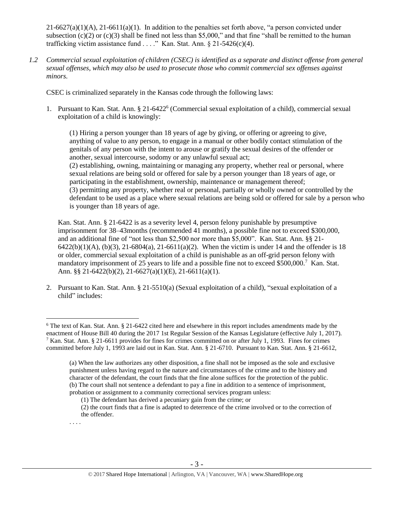$21-6627(a)(1)(A)$ ,  $21-6611(a)(1)$ . In addition to the penalties set forth above, "a person convicted under subsection (c)(2) or (c)(3) shall be fined not less than \$5,000," and that fine "shall be remitted to the human trafficking victim assistance fund . . . ." Kan. Stat. Ann.  $\S 21-5426(c)(4)$ .

*1.2 Commercial sexual exploitation of children (CSEC) is identified as a separate and distinct offense from general sexual offenses, which may also be used to prosecute those who commit commercial sex offenses against minors.*

CSEC is criminalized separately in the Kansas code through the following laws:

1. Pursuant to Kan. Stat. Ann. § 21-6422<sup>6</sup> (Commercial sexual exploitation of a child), commercial sexual exploitation of a child is knowingly:

<span id="page-2-0"></span>(1) Hiring a person younger than 18 years of age by giving, or offering or agreeing to give, anything of value to any person, to engage in a manual or other bodily contact stimulation of the genitals of any person with the intent to arouse or gratify the sexual desires of the offender or another, sexual intercourse, sodomy or any unlawful sexual act; (2) establishing, owning, maintaining or managing any property, whether real or personal, where sexual relations are being sold or offered for sale by a person younger than 18 years of age, or participating in the establishment, ownership, maintenance or management thereof; (3) permitting any property, whether real or personal, partially or wholly owned or controlled by the defendant to be used as a place where sexual relations are being sold or offered for sale by a person who is younger than 18 years of age.

Kan. Stat. Ann. § 21-6422 is as a severity level 4, person felony punishable by presumptive imprisonment for 38–43months (recommended 41 months), a possible fine not to exceed \$300,000, and an additional fine of "not less than \$2,500 nor more than \$5,000". Kan. Stat. Ann. §§ 21- 6422(b)(1)(A), (b)(3), 21-6804(a), 21-6611(a)(2). When the victim is under 14 and the offender is 18 or older, commercial sexual exploitation of a child is punishable as an off-grid person felony with mandatory imprisonment of 25 years to life and a possible fine not to exceed \$500,000.<sup>7</sup> Kan. Stat. Ann. §§ 21-6422(b)(2), 21-6627(a)(1)(E), 21-6611(a)(1).

2. Pursuant to Kan. Stat. Ann. § 21-5510(a) (Sexual exploitation of a child), "sexual exploitation of a child" includes:

<sup>6</sup> The text of Kan. Stat. Ann. § 21-6422 cited here and elsewhere in this report includes amendments made by the enactment of House Bill 40 during the 2017 1st Regular Session of the Kansas Legislature (effective July 1, 2017). <sup>7</sup> Kan. Stat. Ann. § 21-6611 provides for fines for crimes committed on or after July 1, 1993. Fines for crimes committed before July 1, 1993 are laid out in Kan. Stat. Ann. § 21-6710. Pursuant to Kan. Stat. Ann. § 21-6612,

<sup>(</sup>a) When the law authorizes any other disposition, a fine shall not be imposed as the sole and exclusive punishment unless having regard to the nature and circumstances of the crime and to the history and character of the defendant, the court finds that the fine alone suffices for the protection of the public. (b) The court shall not sentence a defendant to pay a fine in addition to a sentence of imprisonment, probation or assignment to a community correctional services program unless:

<sup>(1)</sup> The defendant has derived a pecuniary gain from the crime; or

<sup>(2)</sup> the court finds that a fine is adapted to deterrence of the crime involved or to the correction of the offender.

<sup>. . . .</sup>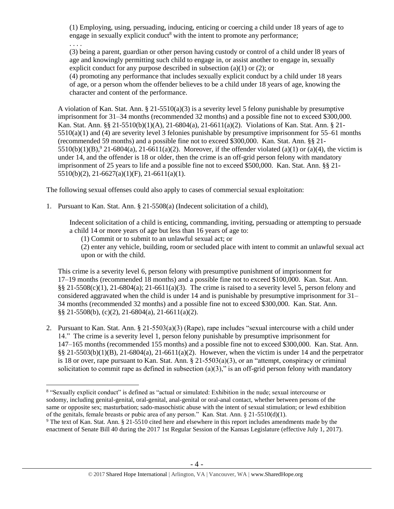(1) Employing, using, persuading, inducing, enticing or coercing a child under 18 years of age to engage in sexually explicit conduct<sup>8</sup> with the intent to promote any performance;

<span id="page-3-1"></span>. . . .

 $\overline{a}$ 

(3) being a parent, guardian or other person having custody or control of a child under l8 years of age and knowingly permitting such child to engage in, or assist another to engage in, sexually explicit conduct for any purpose described in subsection (a)(1) or (2); or

(4) promoting any performance that includes sexually explicit conduct by a child under 18 years of age, or a person whom the offender believes to be a child under 18 years of age, knowing the character and content of the performance.

<span id="page-3-0"></span>A violation of Kan. Stat. Ann.  $\S 21-5510(a)(3)$  is a severity level 5 felony punishable by presumptive imprisonment for 31–34 months (recommended 32 months) and a possible fine not to exceed \$300,000. Kan. Stat. Ann. §§ 21-5510(b)(1)(A), 21-6804(a), 21-6611(a)(2). Violations of Kan. Stat. Ann. § 21- 5510(a)(1) and (4) are severity level 3 felonies punishable by presumptive imprisonment for 55–61 months (recommended 59 months) and a possible fine not to exceed \$300,000. Kan. Stat. Ann. §§ 21- 5510(b)(1)(B), $9$  21-6804(a), 21-6611(a)(2). Moreover, if the offender violated (a)(1) or (a)(4), the victim is under 14, and the offender is 18 or older, then the crime is an off-grid person felony with mandatory imprisonment of 25 years to life and a possible fine not to exceed \$500,000. Kan. Stat. Ann. §§ 21-  $5510(b)(2)$ ,  $21-6627(a)(1)(F)$ ,  $21-6611(a)(1)$ .

The following sexual offenses could also apply to cases of commercial sexual exploitation:

1. Pursuant to Kan. Stat. Ann. § 21-5508(a) (Indecent solicitation of a child),

Indecent solicitation of a child is enticing, commanding, inviting, persuading or attempting to persuade a child 14 or more years of age but less than 16 years of age to:

(1) Commit or to submit to an unlawful sexual act; or

(2) enter any vehicle, building, room or secluded place with intent to commit an unlawful sexual act upon or with the child.

This crime is a severity level 6, person felony with presumptive punishment of imprisonment for 17–19 months (recommended 18 months) and a possible fine not to exceed \$100,000. Kan. Stat. Ann.  $\S$ § 21-5508(c)(1), 21-6804(a); 21-6611(a)(3). The crime is raised to a severity level 5, person felony and considered aggravated when the child is under 14 and is punishable by presumptive imprisonment for 31– 34 months (recommended 32 months) and a possible fine not to exceed \$300,000. Kan. Stat. Ann. §§ 21-5508(b), (c)(2), 21-6804(a), 21-6611(a)(2).

2. Pursuant to Kan. Stat. Ann. § 21-5503(a)(3) (Rape), rape includes "sexual intercourse with a child under 14." The crime is a severity level 1, person felony punishable by presumptive imprisonment for 147–165 months (recommended 155 months) and a possible fine not to exceed \$300,000. Kan. Stat. Ann.  $\S$ § 21-5503(b)(1)(B), 21-6804(a), 21-6611(a)(2). However, when the victim is under 14 and the perpetrator is 18 or over, rape pursuant to Kan. Stat. Ann.  $\S 21-5503(a)(3)$ , or an "attempt, conspiracy or criminal solicitation to commit rape as defined in subsection  $(a)(3)$ ," is an off-grid person felony with mandatory

<sup>&</sup>lt;sup>8</sup> "Sexually explicit conduct" is defined as "actual or simulated: Exhibition in the nude; sexual intercourse or sodomy, including genital-genital, oral-genital, anal-genital or oral-anal contact, whether between persons of the same or opposite sex; masturbation; sado-masochistic abuse with the intent of sexual stimulation; or lewd exhibition of the genitals, female breasts or pubic area of any person." Kan. Stat. Ann. § 21-5510(d)(1).

<sup>9</sup> The text of Kan. Stat. Ann. § 21-5510 cited here and elsewhere in this report includes amendments made by the enactment of Senate Bill 40 during the 2017 1st Regular Session of the Kansas Legislature (effective July 1, 2017).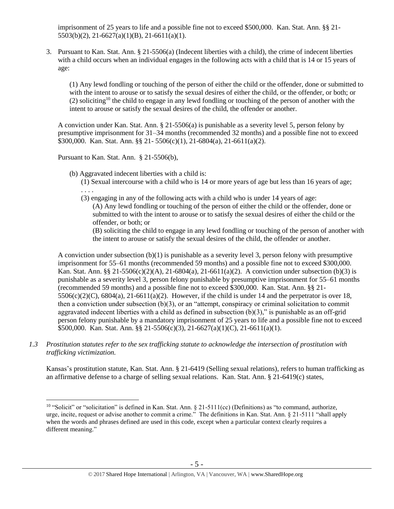imprisonment of 25 years to life and a possible fine not to exceed \$500,000. Kan. Stat. Ann. §§ 21- 5503(b)(2), 21-6627(a)(1)(B), 21-6611(a)(1).

3. Pursuant to Kan. Stat. Ann. § 21-5506(a) (Indecent liberties with a child), the crime of indecent liberties with a child occurs when an individual engages in the following acts with a child that is 14 or 15 years of age:

<span id="page-4-0"></span>(1) Any lewd fondling or touching of the person of either the child or the offender, done or submitted to with the intent to arouse or to satisfy the sexual desires of either the child, or the offender, or both; or (2) soliciting<sup>10</sup> the child to engage in any lewd fondling or touching of the person of another with the intent to arouse or satisfy the sexual desires of the child, the offender or another.

A conviction under Kan. Stat. Ann. § 21-5506(a) is punishable as a severity level 5, person felony by presumptive imprisonment for 31–34 months (recommended 32 months) and a possible fine not to exceed \$300,000. Kan. Stat. Ann. §§ 21- 5506(c)(1), 21-6804(a), 21-6611(a)(2).

Pursuant to Kan. Stat. Ann. § 21-5506(b),

 $\overline{a}$ 

(b) Aggravated indecent liberties with a child is:

(1) Sexual intercourse with a child who is 14 or more years of age but less than 16 years of age; . . . .

(3) engaging in any of the following acts with a child who is under 14 years of age:

(A) Any lewd fondling or touching of the person of either the child or the offender, done or submitted to with the intent to arouse or to satisfy the sexual desires of either the child or the offender, or both; or

(B) soliciting the child to engage in any lewd fondling or touching of the person of another with the intent to arouse or satisfy the sexual desires of the child, the offender or another.

A conviction under subsection (b)(1) is punishable as a severity level 3, person felony with presumptive imprisonment for 55–61 months (recommended 59 months) and a possible fine not to exceed \$300,000. Kan. Stat. Ann. §§ 21-5506(c)(2)(A), 21-6804(a), 21-6611(a)(2). A conviction under subsection (b)(3) is punishable as a severity level 3, person felony punishable by presumptive imprisonment for 55–61 months (recommended 59 months) and a possible fine not to exceed \$300,000. Kan. Stat. Ann. §§ 21-  $5506(c)(2)(C)$ ,  $6804(a)$ ,  $21-6611(a)(2)$ . However, if the child is under 14 and the perpetrator is over 18, then a conviction under subsection (b)(3), or an "attempt, conspiracy or criminal solicitation to commit aggravated indecent liberties with a child as defined in subsection  $(b)(3)$ ," is punishable as an off-grid person felony punishable by a mandatory imprisonment of 25 years to life and a possible fine not to exceed \$500,000. Kan. Stat. Ann. §§ 21-5506(c)(3), 21-6627(a)(1)(C), 21-6611(a)(1).

*1.3 Prostitution statutes refer to the sex trafficking statute to acknowledge the intersection of prostitution with trafficking victimization.* 

Kansas's prostitution statute, Kan. Stat. Ann. § 21-6419 (Selling sexual relations), refers to human trafficking as an affirmative defense to a charge of selling sexual relations. Kan. Stat. Ann. § 21-6419(c) states,

<sup>&</sup>lt;sup>10</sup> "Solicit" or "solicitation" is defined in Kan. Stat. Ann.  $\S$  21-5111(cc) (Definitions) as "to command, authorize, urge, incite, request or advise another to commit a crime." The definitions in Kan. Stat. Ann. § 21-5111 "shall apply when the words and phrases defined are used in this code, except when a particular context clearly requires a different meaning."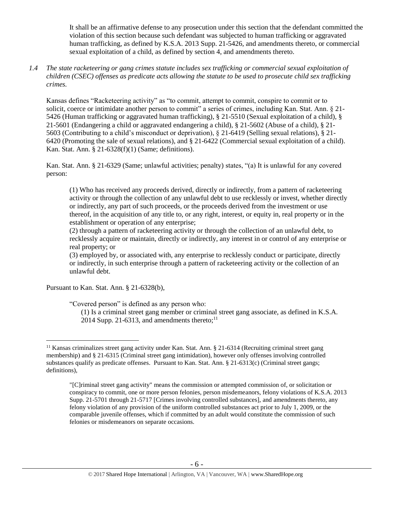It shall be an affirmative defense to any prosecution under this section that the defendant committed the violation of this section because such defendant was subjected to human trafficking or aggravated human trafficking, as defined by K.S.A. 2013 Supp. 21-5426, and amendments thereto, or commercial sexual exploitation of a child, as defined by section 4, and amendments thereto.

*1.4 The state racketeering or gang crimes statute includes sex trafficking or commercial sexual exploitation of children (CSEC) offenses as predicate acts allowing the statute to be used to prosecute child sex trafficking crimes.* 

Kansas defines "Racketeering activity" as "to commit, attempt to commit, conspire to commit or to solicit, coerce or intimidate another person to commit" a series of crimes, including Kan. Stat. Ann. § 21-5426 (Human trafficking or aggravated human trafficking), § 21-5510 (Sexual exploitation of a child), § 21-5601 (Endangering a child or aggravated endangering a child), § 21-5602 (Abuse of a child), § 21- 5603 (Contributing to a child's misconduct or deprivation), § 21-6419 (Selling sexual relations), § 21- 6420 (Promoting the sale of sexual relations), and § 21-6422 (Commercial sexual exploitation of a child). Kan. Stat. Ann. § 21-6328(f)(1) (Same; definitions).

Kan. Stat. Ann. § 21-6329 (Same; unlawful activities; penalty) states, "(a) It is unlawful for any covered person:

(1) Who has received any proceeds derived, directly or indirectly, from a pattern of racketeering activity or through the collection of any unlawful debt to use recklessly or invest, whether directly or indirectly, any part of such proceeds, or the proceeds derived from the investment or use thereof, in the acquisition of any title to, or any right, interest, or equity in, real property or in the establishment or operation of any enterprise;

(2) through a pattern of racketeering activity or through the collection of an unlawful debt, to recklessly acquire or maintain, directly or indirectly, any interest in or control of any enterprise or real property; or

(3) employed by, or associated with, any enterprise to recklessly conduct or participate, directly or indirectly, in such enterprise through a pattern of racketeering activity or the collection of an unlawful debt.

Pursuant to Kan. Stat. Ann. § 21-6328(b),

 $\overline{a}$ 

"Covered person" is defined as any person who:

(1) Is a criminal street gang member or criminal street gang associate, as defined in K.S.A. 2014 Supp. 21-6313, and amendments thereto; $^{11}$ 

<sup>11</sup> Kansas criminalizes street gang activity under Kan. Stat. Ann. § 21-6314 (Recruiting criminal street gang membership) and § 21-6315 (Criminal street gang intimidation), however only offenses involving controlled substances qualify as predicate offenses. Pursuant to Kan. Stat. Ann. § 21-6313(c) (Criminal street gangs; definitions),

<sup>&</sup>quot;[C]riminal street gang activity" means the commission or attempted commission of, or solicitation or conspiracy to commit, one or more person felonies, person misdemeanors, felony violations of K.S.A. 2013 Supp. 21-5701 through 21-5717 [Crimes involving controlled substances], and amendments thereto, any felony violation of any provision of the uniform controlled substances act prior to July 1, 2009, or the comparable juvenile offenses, which if committed by an adult would constitute the commission of such felonies or misdemeanors on separate occasions.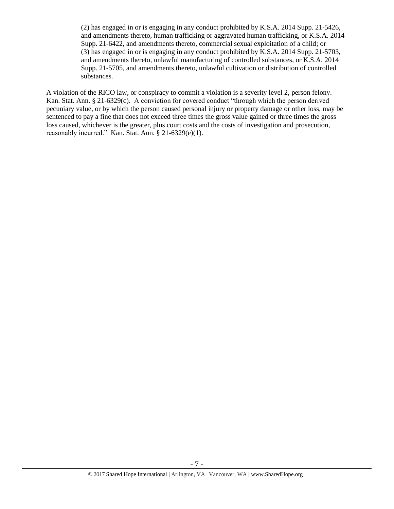(2) has engaged in or is engaging in any conduct prohibited by K.S.A. 2014 Supp. 21-5426, and amendments thereto, human trafficking or aggravated human trafficking, or K.S.A. 2014 Supp. 21-6422, and amendments thereto, commercial sexual exploitation of a child; or (3) has engaged in or is engaging in any conduct prohibited by K.S.A. 2014 Supp. 21-5703, and amendments thereto, unlawful manufacturing of controlled substances, or K.S.A. 2014 Supp. 21-5705, and amendments thereto, unlawful cultivation or distribution of controlled substances.

A violation of the RICO law, or conspiracy to commit a violation is a severity level 2, person felony. Kan. Stat. Ann. § 21-6329(c). A conviction for covered conduct "through which the person derived pecuniary value, or by which the person caused personal injury or property damage or other loss, may be sentenced to pay a fine that does not exceed three times the gross value gained or three times the gross loss caused, whichever is the greater, plus court costs and the costs of investigation and prosecution, reasonably incurred." Kan. Stat. Ann. § 21-6329(e)(1).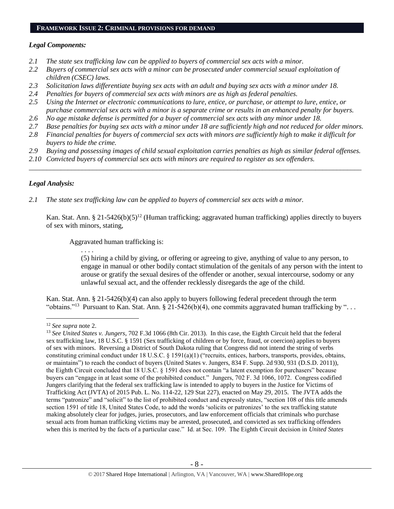#### **FRAMEWORK ISSUE 2: CRIMINAL PROVISIONS FOR DEMAND**

## *Legal Components:*

- *2.1 The state sex trafficking law can be applied to buyers of commercial sex acts with a minor.*
- *2.2 Buyers of commercial sex acts with a minor can be prosecuted under commercial sexual exploitation of children (CSEC) laws.*
- *2.3 Solicitation laws differentiate buying sex acts with an adult and buying sex acts with a minor under 18.*
- *2.4 Penalties for buyers of commercial sex acts with minors are as high as federal penalties.*
- *2.5 Using the Internet or electronic communications to lure, entice, or purchase, or attempt to lure, entice, or purchase commercial sex acts with a minor is a separate crime or results in an enhanced penalty for buyers.*
- *2.6 No age mistake defense is permitted for a buyer of commercial sex acts with any minor under 18.*
- *2.7 Base penalties for buying sex acts with a minor under 18 are sufficiently high and not reduced for older minors.*
- *2.8 Financial penalties for buyers of commercial sex acts with minors are sufficiently high to make it difficult for buyers to hide the crime.*
- *2.9 Buying and possessing images of child sexual exploitation carries penalties as high as similar federal offenses.*

\_\_\_\_\_\_\_\_\_\_\_\_\_\_\_\_\_\_\_\_\_\_\_\_\_\_\_\_\_\_\_\_\_\_\_\_\_\_\_\_\_\_\_\_\_\_\_\_\_\_\_\_\_\_\_\_\_\_\_\_\_\_\_\_\_\_\_\_\_\_\_\_\_\_\_\_\_\_\_\_\_\_\_\_\_\_\_\_\_\_\_\_\_\_

*2.10 Convicted buyers of commercial sex acts with minors are required to register as sex offenders.* 

## *Legal Analysis:*

*2.1 The state sex trafficking law can be applied to buyers of commercial sex acts with a minor.*

Kan. Stat. Ann. § 21-5426(b)(5)<sup>12</sup> (Human trafficking; aggravated human trafficking) applies directly to buyers of sex with minors, stating,

Aggravated human trafficking is:

. . . .

(5) hiring a child by giving, or offering or agreeing to give, anything of value to any person, to engage in manual or other bodily contact stimulation of the genitals of any person with the intent to arouse or gratify the sexual desires of the offender or another, sexual intercourse, sodomy or any unlawful sexual act, and the offender recklessly disregards the age of the child.

Kan. Stat. Ann. § 21-5426(b)(4) can also apply to buyers following federal precedent through the term "obtains."<sup>13</sup> Pursuant to Kan. Stat. Ann. § 21-5426(b)(4), one commits aggravated human trafficking by "...

<sup>12</sup> *See supra* note [2.](#page-0-0)

<sup>13</sup> *See United States v. Jungers*, 702 F.3d 1066 (8th Cir. 2013). In this case, the Eighth Circuit held that the federal sex trafficking law, 18 U.S.C. § 1591 (Sex trafficking of children or by force, fraud, or coercion) applies to buyers of sex with minors. Reversing a District of South Dakota ruling that Congress did not intend the string of verbs constituting criminal conduct under 18 U.S.C. § 1591(a)(1) ("recruits, entices, harbors, transports, provides, obtains, or maintains") to reach the conduct of buyers (United States v. Jungers, 834 F. Supp. 2d 930, 931 (D.S.D. 2011)), the Eighth Circuit concluded that 18 U.S.C. § 1591 does not contain "a latent exemption for purchasers" because buyers can "engage in at least some of the prohibited conduct." Jungers, 702 F. 3d 1066, 1072. Congress codified Jungers clarifying that the federal sex trafficking law is intended to apply to buyers in the Justice for Victims of Trafficking Act (JVTA) of 2015 Pub. L. No. 114-22, 129 Stat 227), enacted on May 29, 2015. The JVTA adds the terms "patronize" and "solicit" to the list of prohibited conduct and expressly states, "section 108 of this title amends section 1591 of title 18, United States Code, to add the words 'solicits or patronizes' to the sex trafficking statute making absolutely clear for judges, juries, prosecutors, and law enforcement officials that criminals who purchase sexual acts from human trafficking victims may be arrested, prosecuted, and convicted as sex trafficking offenders when this is merited by the facts of a particular case." Id. at Sec. 109. The Eighth Circuit decision in *United States*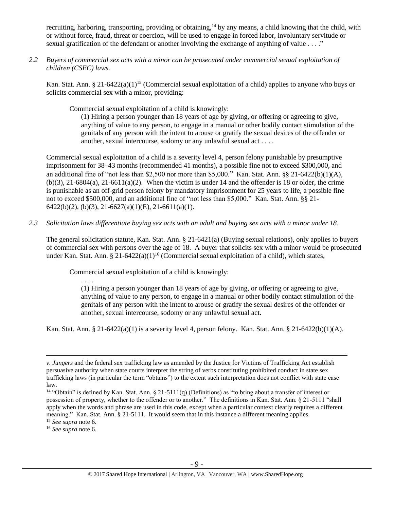recruiting, harboring, transporting, providing or obtaining,<sup>14</sup> by any means, a child knowing that the child, with or without force, fraud, threat or coercion, will be used to engage in forced labor, involuntary servitude or sexual gratification of the defendant or another involving the exchange of anything of value . . . ."

*2.2 Buyers of commercial sex acts with a minor can be prosecuted under commercial sexual exploitation of children (CSEC) laws.*

Kan. Stat. Ann. § 21-6422(a)(1)<sup>15</sup> (Commercial sexual exploitation of a child) applies to anyone who buys or solicits commercial sex with a minor, providing:

Commercial sexual exploitation of a child is knowingly:

(1) Hiring a person younger than 18 years of age by giving, or offering or agreeing to give, anything of value to any person, to engage in a manual or other bodily contact stimulation of the genitals of any person with the intent to arouse or gratify the sexual desires of the offender or another, sexual intercourse, sodomy or any unlawful sexual act . . . .

Commercial sexual exploitation of a child is a severity level 4, person felony punishable by presumptive imprisonment for 38–43 months (recommended 41 months), a possible fine not to exceed \$300,000, and an additional fine of "not less than \$2,500 nor more than \$5,000." Kan. Stat. Ann. §§ 21-6422(b)(1)(A),  $(b)(3)$ , 21-6804(a), 21-6611(a)(2). When the victim is under 14 and the offender is 18 or older, the crime is punishable as an off-grid person felony by mandatory imprisonment for 25 years to life, a possible fine not to exceed \$500,000, and an additional fine of "not less than \$5,000." Kan. Stat. Ann. §§ 21-  $6422(b)(2)$ ,  $(b)(3)$ ,  $21-6627(a)(1)(E)$ ,  $21-6611(a)(1)$ .

*2.3 Solicitation laws differentiate buying sex acts with an adult and buying sex acts with a minor under 18.*

The general solicitation statute, Kan. Stat. Ann. § 21-6421(a) (Buying sexual relations), only applies to buyers of commercial sex with persons over the age of 18. A buyer that solicits sex with a minor would be prosecuted under Kan. Stat. Ann. § 21-6422(a)(1)<sup>16</sup> (Commercial sexual exploitation of a child), which states,

Commercial sexual exploitation of a child is knowingly:

. . . . (1) Hiring a person younger than 18 years of age by giving, or offering or agreeing to give, anything of value to any person, to engage in a manual or other bodily contact stimulation of the genitals of any person with the intent to arouse or gratify the sexual desires of the offender or another, sexual intercourse, sodomy or any unlawful sexual act.

Kan. Stat. Ann. § 21-6422(a)(1) is a severity level 4, person felony. Kan. Stat. Ann. § 21-6422(b)(1)(A).

<sup>16</sup> *See supra* note [6.](#page-2-0)

*v. Jungers* and the federal sex trafficking law as amended by the Justice for Victims of Trafficking Act establish persuasive authority when state courts interpret the string of verbs constituting prohibited conduct in state sex trafficking laws (in particular the term "obtains") to the extent such interpretation does not conflict with state case law.

<sup>&</sup>lt;sup>14</sup> "Obtain" is defined by Kan. Stat. Ann. § 21-5111(q) (Definitions) as "to bring about a transfer of interest or possession of property, whether to the offender or to another." The definitions in Kan. Stat. Ann. § 21-5111 "shall apply when the words and phrase are used in this code, except when a particular context clearly requires a different meaning." Kan. Stat. Ann. § 21-5111. It would seem that in this instance a different meaning applies. <sup>15</sup> *See supra* note [6.](#page-2-0)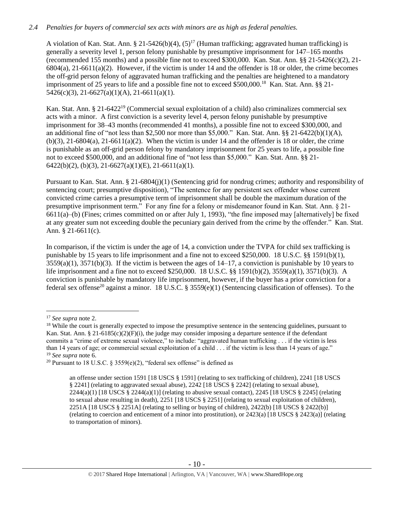## *2.4 Penalties for buyers of commercial sex acts with minors are as high as federal penalties.*

A violation of Kan. Stat. Ann. § 21-5426(b)(4),  $(5)^{17}$  (Human trafficking; aggravated human trafficking) is generally a severity level 1, person felony punishable by presumptive imprisonment for 147–165 months (recommended 155 months) and a possible fine not to exceed \$300,000. Kan. Stat. Ann. §§ 21-5426(c)(2), 21- 6804(a), 21-6611(a)(2). However, if the victim is under 14 and the offender is 18 or older, the crime becomes the off-grid person felony of aggravated human trafficking and the penalties are heightened to a mandatory imprisonment of 25 years to life and a possible fine not to exceed \$500,000.<sup>18</sup> Kan. Stat. Ann. §§ 21- $5426(c)(3)$ ,  $21-6627(a)(1)(A)$ ,  $21-6611(a)(1)$ .

Kan. Stat. Ann. § 21-6422<sup>19</sup> (Commercial sexual exploitation of a child) also criminalizes commercial sex acts with a minor. A first conviction is a severity level 4, person felony punishable by presumptive imprisonment for 38–43 months (recommended 41 months), a possible fine not to exceed \$300,000, and an additional fine of "not less than \$2,500 nor more than \$5,000." Kan. Stat. Ann. §§ 21-6422(b)(1)(A),  $(b)(3)$ , 21-6804(a), 21-6611(a)(2). When the victim is under 14 and the offender is 18 or older, the crime is punishable as an off-grid person felony by mandatory imprisonment for 25 years to life, a possible fine not to exceed \$500,000, and an additional fine of "not less than \$5,000." Kan. Stat. Ann. §§ 21-  $6422(b)(2)$ ,  $(b)(3)$ ,  $21-6627(a)(1)(E)$ ,  $21-6611(a)(1)$ .

Pursuant to Kan. Stat. Ann. § 21-6804(j)(1) (Sentencing grid for nondrug crimes; authority and responsibility of sentencing court; presumptive disposition), "The sentence for any persistent sex offender whose current convicted crime carries a presumptive term of imprisonment shall be double the maximum duration of the presumptive imprisonment term." For any fine for a felony or misdemeanor found in Kan. Stat. Ann. § 21- 6611(a)–(b) (Fines; crimes committed on or after July 1, 1993), "the fine imposed may [alternatively] be fixed at any greater sum not exceeding double the pecuniary gain derived from the crime by the offender." Kan. Stat. Ann. § 21-6611(c).

In comparison, if the victim is under the age of 14, a conviction under the TVPA for child sex trafficking is punishable by 15 years to life imprisonment and a fine not to exceed \$250,000. 18 U.S.C. §§ 1591(b)(1), 3559(a)(1), 3571(b)(3). If the victim is between the ages of 14–17, a conviction is punishable by 10 years to life imprisonment and a fine not to exceed \$250,000. 18 U.S.C. §§ 1591(b)(2), 3559(a)(1), 3571(b)(3). A conviction is punishable by mandatory life imprisonment, however, if the buyer has a prior conviction for a federal sex offense<sup>20</sup> against a minor. 18 U.S.C. § 3559(e)(1) (Sentencing classification of offenses). To the

<span id="page-9-0"></span><sup>17</sup> *See supra* note [2.](#page-0-0)

<sup>&</sup>lt;sup>18</sup> While the court is generally expected to impose the presumptive sentence in the sentencing guidelines, pursuant to Kan. Stat. Ann. § 21-6185(c)(2)(F)(i), the judge may consider imposing a departure sentence if the defendant commits a "crime of extreme sexual violence," to include: "aggravated human trafficking . . . if the victim is less than 14 years of age; or commercial sexual exploitation of a child . . . if the victim is less than 14 years of age." <sup>19</sup> *See supra* note [6.](#page-2-0)

<sup>&</sup>lt;sup>20</sup> Pursuant to 18 U.S.C. § 3559(e)(2), "federal sex offense" is defined as

an offense under section 1591 [18 USCS § 1591] (relating to sex trafficking of children), 2241 [18 USCS § 2241] (relating to aggravated sexual abuse), 2242 [18 USCS § 2242] (relating to sexual abuse),  $2244(a)(1)$  [18 USCS §  $2244(a)(1)$ ] (relating to abusive sexual contact),  $2245$  [18 USCS § 2245] (relating to sexual abuse resulting in death), 2251 [18 USCS § 2251] (relating to sexual exploitation of children), 2251A [18 USCS § 2251A] (relating to selling or buying of children), 2422(b) [18 USCS § 2422(b)] (relating to coercion and enticement of a minor into prostitution), or 2423(a) [18 USCS § 2423(a)] (relating to transportation of minors).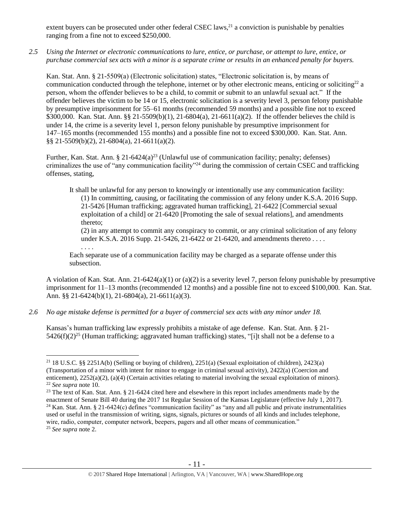extent buyers can be prosecuted under other federal CSEC laws,<sup>21</sup> a conviction is punishable by penalties ranging from a fine not to exceed \$250,000.

*2.5 Using the Internet or electronic communications to lure, entice, or purchase, or attempt to lure, entice, or purchase commercial sex acts with a minor is a separate crime or results in an enhanced penalty for buyers.*

Kan. Stat. Ann. § 21-5509(a) (Electronic solicitation) states, "Electronic solicitation is, by means of communication conducted through the telephone, internet or by other electronic means, enticing or soliciting<sup>22</sup> a person, whom the offender believes to be a child, to commit or submit to an unlawful sexual act." If the offender believes the victim to be 14 or 15, electronic solicitation is a severity level 3, person felony punishable by presumptive imprisonment for 55–61 months (recommended 59 months) and a possible fine not to exceed \$300,000. Kan. Stat. Ann. §§ 21-5509(b)(1), 21-6804(a), 21-6611(a)(2). If the offender believes the child is under 14, the crime is a severity level 1, person felony punishable by presumptive imprisonment for 147–165 months (recommended 155 months) and a possible fine not to exceed \$300,000. Kan. Stat. Ann. §§ 21-5509(b)(2), 21-6804(a), 21-6611(a)(2).

Further, Kan. Stat. Ann. § 21-6424(a)<sup>23</sup> (Unlawful use of communication facility; penalty; defenses) criminalizes the use of "any communication facility"<sup>24</sup> during the commission of certain CSEC and trafficking offenses, stating,

<span id="page-10-1"></span><span id="page-10-0"></span>It shall be unlawful for any person to knowingly or intentionally use any communication facility: (1) In committing, causing, or facilitating the commission of any felony under K.S.A. 2016 Supp. 21-5426 [Human trafficking; aggravated human trafficking], 21-6422 [Commercial sexual exploitation of a child] or 21-6420 [Promoting the sale of sexual relations], and amendments thereto;

(2) in any attempt to commit any conspiracy to commit, or any criminal solicitation of any felony under K.S.A. 2016 Supp. 21-5426, 21-6422 or 21-6420, and amendments thereto . . . .

Each separate use of a communication facility may be charged as a separate offense under this subsection.

A violation of Kan. Stat. Ann.  $21-6424(a)(1)$  or  $(a)(2)$  is a severity level 7, person felony punishable by presumptive imprisonment for 11–13 months (recommended 12 months) and a possible fine not to exceed \$100,000. Kan. Stat. Ann. §§ 21-6424(b)(1), 21-6804(a), 21-6611(a)(3).

*2.6 No age mistake defense is permitted for a buyer of commercial sex acts with any minor under 18.*

. . . .

 $\overline{a}$ 

Kansas's human trafficking law expressly prohibits a mistake of age defense. Kan. Stat. Ann. § 21- 5426(f)(2)<sup>25</sup> (Human trafficking; aggravated human trafficking) states, "[i]t shall not be a defense to a

<sup>&</sup>lt;sup>21</sup> 18 U.S.C. §§ 2251A(b) (Selling or buying of children), 2251(a) (Sexual exploitation of children), 2423(a) (Transportation of a minor with intent for minor to engage in criminal sexual activity), 2422(a) (Coercion and enticement), 2252(a)(2), (a)(4) (Certain activities relating to material involving the sexual exploitation of minors). <sup>22</sup> *See supra* note [10.](#page-4-0) 

<sup>&</sup>lt;sup>23</sup> The text of Kan. Stat. Ann. § 21-6424 cited here and elsewhere in this report includes amendments made by the enactment of Senate Bill 40 during the 2017 1st Regular Session of the Kansas Legislature (effective July 1, 2017). <sup>24</sup> Kan. Stat. Ann. § 21-6424(c) defines "communication facility" as "any and all public and private instrumentalities used or useful in the transmission of writing, signs, signals, pictures or sounds of all kinds and includes telephone, wire, radio, computer, computer network, beepers, pagers and all other means of communication." <sup>25</sup> *See supra* note [2.](#page-0-0)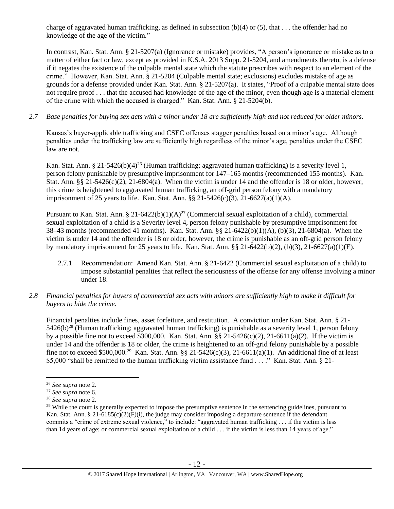charge of aggravated human trafficking, as defined in subsection  $(b)(4)$  or  $(5)$ , that . . . the offender had no knowledge of the age of the victim."

In contrast, Kan. Stat. Ann. § 21-5207(a) (Ignorance or mistake) provides, "A person's ignorance or mistake as to a matter of either fact or law, except as provided in K.S.A. 2013 Supp. 21-5204, and amendments thereto, is a defense if it negates the existence of the culpable mental state which the statute prescribes with respect to an element of the crime." However, Kan. Stat. Ann. § 21-5204 (Culpable mental state; exclusions) excludes mistake of age as grounds for a defense provided under Kan. Stat. Ann. § 21-5207(a). It states, "Proof of a culpable mental state does not require proof . . . that the accused had knowledge of the age of the minor, even though age is a material element of the crime with which the accused is charged." Kan. Stat. Ann. § 21-5204(b).

*2.7 Base penalties for buying sex acts with a minor under 18 are sufficiently high and not reduced for older minors.*

Kansas's buyer-applicable trafficking and CSEC offenses stagger penalties based on a minor's age. Although penalties under the trafficking law are sufficiently high regardless of the minor's age, penalties under the CSEC law are not.

Kan. Stat. Ann. § 21-5426(b)(4)<sup>26</sup> (Human trafficking; aggravated human trafficking) is a severity level 1, person felony punishable by presumptive imprisonment for 147–165 months (recommended 155 months). Kan. Stat. Ann.  $\S$ § 21-5426(c)(2), 21-6804(a). When the victim is under 14 and the offender is 18 or older, however, this crime is heightened to aggravated human trafficking, an off-grid person felony with a mandatory imprisonment of 25 years to life. Kan. Stat. Ann.  $\S$ § 21-5426(c)(3), 21-6627(a)(1)(A).

Pursuant to Kan. Stat. Ann. § 21-6422(b)(1)(A)<sup>27</sup> (Commercial sexual exploitation of a child), commercial sexual exploitation of a child is a Severity level 4, person felony punishable by presumptive imprisonment for 38–43 months (recommended 41 months). Kan. Stat. Ann. §§ 21-6422(b)(1)(A), (b)(3), 21-6804(a). When the victim is under 14 and the offender is 18 or older, however, the crime is punishable as an off-grid person felony by mandatory imprisonment for 25 years to life. Kan. Stat. Ann. §§ 21-6422(b)(2), (b)(3), 21-6627(a)(1)(E).

- 2.7.1 Recommendation: Amend Kan. Stat. Ann. § 21-6422 (Commercial sexual exploitation of a child) to impose substantial penalties that reflect the seriousness of the offense for any offense involving a minor under 18.
- *2.8 Financial penalties for buyers of commercial sex acts with minors are sufficiently high to make it difficult for buyers to hide the crime.*

Financial penalties include fines, asset forfeiture, and restitution. A conviction under Kan. Stat. Ann. § 21- 5426(b)<sup>28</sup> (Human trafficking; aggravated human trafficking) is punishable as a severity level 1, person felony by a possible fine not to exceed \$300,000. Kan. Stat. Ann.  $\S$ § 21-5426(c)(2), 21-6611(a)(2). If the victim is under 14 and the offender is 18 or older, the crime is heightened to an off-grid felony punishable by a possible fine not to exceed \$500,000.<sup>29</sup> Kan. Stat. Ann. §§ 21-5426(c)(3), 21-6611(a)(1). An additional fine of at least \$5,000 "shall be remitted to the human trafficking victim assistance fund . . . ." Kan. Stat. Ann. § 21-

<sup>26</sup> *See supra* note [2.](#page-0-0)

<sup>27</sup> *See supra* note [6.](#page-2-0)

<sup>28</sup> *See supra* note [2.](#page-0-0)

 $^{29}$  While the court is generally expected to impose the presumptive sentence in the sentencing guidelines, pursuant to Kan. Stat. Ann. § 21-6185(c)(2)(F)(i), the judge may consider imposing a departure sentence if the defendant commits a "crime of extreme sexual violence," to include: "aggravated human trafficking . . . if the victim is less than 14 years of age; or commercial sexual exploitation of a child . . . if the victim is less than 14 years of age."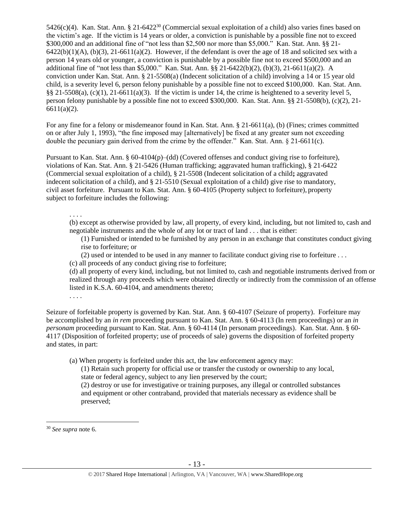5426(c)(4). Kan. Stat. Ann. § 21-6422<sup>30</sup> (Commercial sexual exploitation of a child) also varies fines based on the victim's age. If the victim is 14 years or older, a conviction is punishable by a possible fine not to exceed \$300,000 and an additional fine of "not less than \$2,500 nor more than \$5,000." Kan. Stat. Ann. §§ 21- $6422(b)(1)(A)$ ,  $(b)(3)$ ,  $21-6611(a)(2)$ . However, if the defendant is over the age of 18 and solicited sex with a person 14 years old or younger, a conviction is punishable by a possible fine not to exceed \$500,000 and an additional fine of "not less than \$5,000." Kan. Stat. Ann. §§ 21-6422(b)(2), (b)(3), 21-6611(a)(2). A conviction under Kan. Stat. Ann. § 21-5508(a) (Indecent solicitation of a child) involving a 14 or 15 year old child, is a severity level 6, person felony punishable by a possible fine not to exceed \$100,000. Kan. Stat. Ann. §§ 21-5508(a),  $(c)(1)$ , 21-6611(a)(3). If the victim is under 14, the crime is heightened to a severity level 5, person felony punishable by a possible fine not to exceed \$300,000. Kan. Stat. Ann. §§ 21-5508(b), (c)(2), 21-  $6611(a)(2)$ .

For any fine for a felony or misdemeanor found in Kan. Stat. Ann. § 21-6611(a), (b) (Fines; crimes committed on or after July 1, 1993), "the fine imposed may [alternatively] be fixed at any greater sum not exceeding double the pecuniary gain derived from the crime by the offender." Kan. Stat. Ann. § 21-6611(c).

Pursuant to Kan. Stat. Ann. § 60-4104(p)–(dd) (Covered offenses and conduct giving rise to forfeiture), violations of Kan. Stat. Ann. § 21-5426 (Human trafficking; aggravated human trafficking), § 21-6422 (Commercial sexual exploitation of a child), § 21-5508 (Indecent solicitation of a child**;** aggravated indecent solicitation of a child), and § 21-5510 (Sexual exploitation of a child) give rise to mandatory, civil asset forfeiture. Pursuant to Kan. Stat. Ann. § 60-4105 (Property subject to forfeiture), property subject to forfeiture includes the following:

. . . .

(b) except as otherwise provided by law, all property, of every kind, including, but not limited to, cash and negotiable instruments and the whole of any lot or tract of land . . . that is either:

(1) Furnished or intended to be furnished by any person in an exchange that constitutes conduct giving rise to forfeiture; or

(2) used or intended to be used in any manner to facilitate conduct giving rise to forfeiture . . .

(c) all proceeds of any conduct giving rise to forfeiture;

(d) all property of every kind, including, but not limited to, cash and negotiable instruments derived from or realized through any proceeds which were obtained directly or indirectly from the commission of an offense listed in K.S.A. 60-4104, and amendments thereto;

. . . .

Seizure of forfeitable property is governed by Kan. Stat. Ann. § 60-4107 (Seizure of property). Forfeiture may be accomplished by an *in rem* proceeding pursuant to Kan. Stat. Ann. § 60-4113 (In rem proceedings) or an *in personam* proceeding pursuant to Kan. Stat. Ann. § 60-4114 (In personam proceedings). Kan. Stat. Ann. § 60- 4117 (Disposition of forfeited property; use of proceeds of sale) governs the disposition of forfeited property and states, in part:

(a) When property is forfeited under this act, the law enforcement agency may:

(1) Retain such property for official use or transfer the custody or ownership to any local, state or federal agency, subject to any lien preserved by the court;

(2) destroy or use for investigative or training purposes, any illegal or controlled substances and equipment or other contraband, provided that materials necessary as evidence shall be preserved;

<sup>30</sup> *See supra* note [6.](#page-2-0)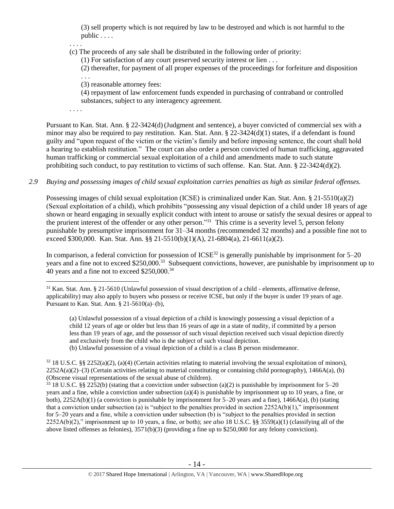(3) sell property which is not required by law to be destroyed and which is not harmful to the public . . . .

. . . .

(c) The proceeds of any sale shall be distributed in the following order of priority:

(1) For satisfaction of any court preserved security interest or lien . . .

(2) thereafter, for payment of all proper expenses of the proceedings for forfeiture and disposition

. . . (3) reasonable attorney fees:

(4) repayment of law enforcement funds expended in purchasing of contraband or controlled substances, subject to any interagency agreement.

. . . .

 $\overline{a}$ 

Pursuant to Kan. Stat. Ann. § 22-3424(d)(Judgment and sentence), a buyer convicted of commercial sex with a minor may also be required to pay restitution. Kan. Stat. Ann.  $\S 22-3424(d)(1)$  states, if a defendant is found guilty and "upon request of the victim or the victim's family and before imposing sentence, the court shall hold a hearing to establish restitution." The court can also order a person convicted of human trafficking, aggravated human trafficking or commercial sexual exploitation of a child and amendments made to such statute prohibiting such conduct, to pay restitution to victims of such offense. Kan. Stat. Ann. § 22-3424(d)(2).

## *2.9 Buying and possessing images of child sexual exploitation carries penalties as high as similar federal offenses.*

Possessing images of child sexual exploitation (ICSE) is criminalized under Kan. Stat. Ann. § 21-5510(a)(2) (Sexual exploitation of a child), which prohibits "possessing any visual depiction of a child under 18 years of age shown or heard engaging in sexually explicit conduct with intent to arouse or satisfy the sexual desires or appeal to the prurient interest of the offender or any other person."<sup>31</sup> This crime is a severity level 5, person felony punishable by presumptive imprisonment for 31–34 months (recommended 32 months) and a possible fine not to exceed \$300,000. Kan. Stat. Ann. §§ 21-5510(b)(1)(A), 21-6804(a), 21-6611(a)(2).

In comparison, a federal conviction for possession of  $ICSE^{32}$  is generally punishable by imprisonment for 5–20 years and a fine not to exceed \$250,000.<sup>33</sup> Subsequent convictions, however, are punishable by imprisonment up to 40 years and a fine not to exceed \$250,000.<sup>34</sup>

(a) Unlawful possession of a visual depiction of a child is knowingly possessing a visual depiction of a child 12 years of age or older but less than 16 years of age in a state of nudity, if committed by a person less than 19 years of age, and the possessor of such visual depiction received such visual depiction directly and exclusively from the child who is the subject of such visual depiction.

(b) Unlawful possession of a visual depiction of a child is a class B person misdemeanor.

 $32\,18$  U.S.C. §§ 2252(a)(2), (a)(4) (Certain activities relating to material involving the sexual exploitation of minors),  $2252A(a)(2)$ –(3) (Certain activities relating to material constituting or containing child pornography), 1466A(a), (b) (Obscene visual representations of the sexual abuse of children).

 $33\,18$  U.S.C. §§ 2252(b) (stating that a conviction under subsection (a)(2) is punishable by imprisonment for 5–20 years and a fine, while a conviction under subsection (a)(4) is punishable by imprisonment up to 10 years, a fine, or both), 2252A(b)(1) (a conviction is punishable by imprisonment for 5–20 years and a fine), 1466A(a), (b) (stating that a conviction under subsection (a) is "subject to the penalties provided in section  $2252A(b)(1)$ ," imprisonment for 5–20 years and a fine, while a conviction under subsection (b) is "subject to the penalties provided in section 2252A(b)(2)," imprisonment up to 10 years, a fine, or both); *see also* 18 U.S.C. §§ 3559(a)(1) (classifying all of the above listed offenses as felonies), 3571(b)(3) (providing a fine up to \$250,000 for any felony conviction).

 $31$  Kan. Stat. Ann. § 21-5610 (Unlawful possession of visual description of a child - elements, affirmative defense, applicability) may also apply to buyers who possess or receive ICSE, but only if the buyer is under 19 years of age. Pursuant to Kan. Stat. Ann.  $\S 21-5610(a)$ –(b),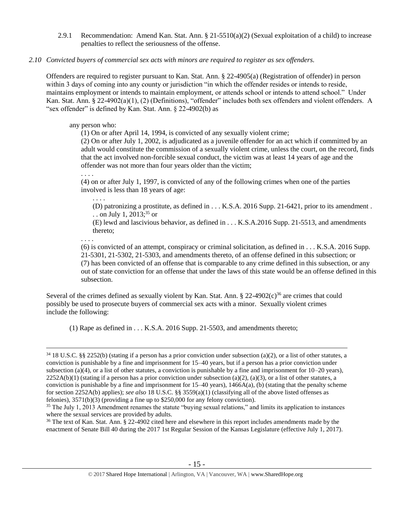2.9.1 Recommendation: Amend Kan. Stat. Ann.  $\S$  21-5510(a)(2) (Sexual exploitation of a child) to increase penalties to reflect the seriousness of the offense.

#### *2.10 Convicted buyers of commercial sex acts with minors are required to register as sex offenders.*

Offenders are required to register pursuant to Kan. Stat. Ann. § 22-4905(a) (Registration of offender) in person within 3 days of coming into any county or jurisdiction "in which the offender resides or intends to reside, maintains employment or intends to maintain employment, or attends school or intends to attend school." Under Kan. Stat. Ann. § 22-4902(a)(1), (2) (Definitions), "offender" includes both sex offenders and violent offenders. A "sex offender" is defined by Kan. Stat. Ann. § 22-4902(b) as

#### any person who:

(1) On or after April 14, 1994, is convicted of any sexually violent crime;

(2) On or after July 1, 2002, is adjudicated as a juvenile offender for an act which if committed by an adult would constitute the commission of a sexually violent crime, unless the court, on the record, finds that the act involved non-forcible sexual conduct, the victim was at least 14 years of age and the offender was not more than four years older than the victim;

(4) on or after July 1, 1997, is convicted of any of the following crimes when one of the parties involved is less than 18 years of age:

(D) patronizing a prostitute, as defined in . . . K.S.A. 2016 Supp. 21-6421, prior to its amendment . . . on July 1, 2013; <sup>35</sup> or

<span id="page-14-0"></span>(E) lewd and lascivious behavior, as defined in . . . K.S.A.2016 Supp. 21-5513, and amendments thereto;

. . . .

 $\overline{a}$ 

. . . .

. . . .

(6) is convicted of an attempt, conspiracy or criminal solicitation, as defined in . . . K.S.A. 2016 Supp. 21-5301, 21-5302, 21-5303, and amendments thereto, of an offense defined in this subsection; or (7) has been convicted of an offense that is comparable to any crime defined in this subsection, or any out of state conviction for an offense that under the laws of this state would be an offense defined in this subsection.

Several of the crimes defined as sexually violent by Kan. Stat. Ann. § 22-4902 $(c)$ <sup>36</sup> are crimes that could possibly be used to prosecute buyers of commercial sex acts with a minor. Sexually violent crimes include the following:

(1) Rape as defined in . . . K.S.A. 2016 Supp. 21-5503, and amendments thereto;

<sup>36</sup> The text of Kan. Stat. Ann. § 22-4902 cited here and elsewhere in this report includes amendments made by the enactment of Senate Bill 40 during the 2017 1st Regular Session of the Kansas Legislature (effective July 1, 2017).

 $34\,18$  U.S.C. §§ 2252(b) (stating if a person has a prior conviction under subsection (a)(2), or a list of other statutes, a conviction is punishable by a fine and imprisonment for 15–40 years, but if a person has a prior conviction under subsection (a)(4), or a list of other statutes, a conviction is punishable by a fine and imprisonment for  $10-20$  years),  $2252A(b)(1)$  (stating if a person has a prior conviction under subsection (a)(2), (a)(3), or a list of other statutes, a conviction is punishable by a fine and imprisonment for  $15-40$  years),  $1466A(a)$ , (b) (stating that the penalty scheme for section 2252A(b) applies); *see also* 18 U.S.C. §§ 3559(a)(1) (classifying all of the above listed offenses as felonies), 3571(b)(3) (providing a fine up to \$250,000 for any felony conviction).

<sup>&</sup>lt;sup>35</sup> The July 1, 2013 Amendment renames the statute "buying sexual relations," and limits its application to instances where the sexual services are provided by adults.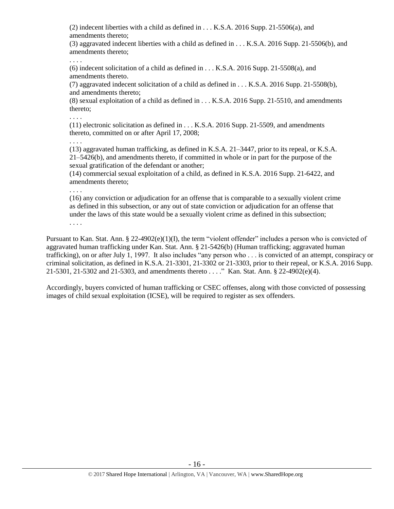(2) indecent liberties with a child as defined in . . . K.S.A. 2016 Supp. 21-5506(a), and amendments thereto;

(3) aggravated indecent liberties with a child as defined in . . . K.S.A. 2016 Supp. 21-5506(b), and amendments thereto;

(6) indecent solicitation of a child as defined in . . . K.S.A. 2016 Supp. 21-5508(a), and amendments thereto.

(7) aggravated indecent solicitation of a child as defined in . . . K.S.A. 2016 Supp. 21-5508(b), and amendments thereto;

(8) sexual exploitation of a child as defined in . . . K.S.A. 2016 Supp. 21-5510, and amendments thereto;

. . . .

. . . .

(11) electronic solicitation as defined in . . . K.S.A. 2016 Supp. 21-5509, and amendments thereto, committed on or after April 17, 2008;

. . . .

(13) aggravated human trafficking, as defined in K.S.A. 21–3447, prior to its repeal, or K.S.A. 21–5426(b), and amendments thereto, if committed in whole or in part for the purpose of the sexual gratification of the defendant or another;

(14) commercial sexual exploitation of a child, as defined in K.S.A. 2016 Supp. 21-6422, and amendments thereto;

. . . .

(16) any conviction or adjudication for an offense that is comparable to a sexually violent crime as defined in this subsection, or any out of state conviction or adjudication for an offense that under the laws of this state would be a sexually violent crime as defined in this subsection; . . . .

Pursuant to Kan. Stat. Ann. § 22-4902(e)(1)(I), the term "violent offender" includes a person who is convicted of aggravated human trafficking under Kan. Stat. Ann. § 21-5426(b) (Human trafficking; aggravated human trafficking), on or after July 1, 1997. It also includes "any person who . . . is convicted of an attempt, conspiracy or criminal solicitation, as defined in K.S.A. 21-3301, 21-3302 or 21-3303, prior to their repeal, or K.S.A. 2016 Supp. 21-5301, 21-5302 and 21-5303, and amendments thereto . . . ." Kan. Stat. Ann. § 22-4902(e)(4).

Accordingly, buyers convicted of human trafficking or CSEC offenses, along with those convicted of possessing images of child sexual exploitation (ICSE), will be required to register as sex offenders.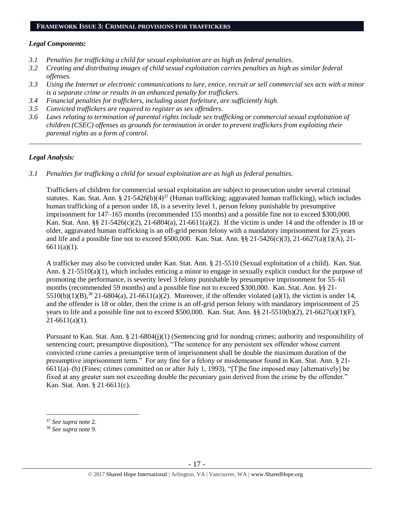#### *Legal Components:*

- *3.1 Penalties for trafficking a child for sexual exploitation are as high as federal penalties.*
- *3.2 Creating and distributing images of child sexual exploitation carries penalties as high as similar federal offenses.*
- *3.3 Using the Internet or electronic communications to lure, entice, recruit or sell commercial sex acts with a minor is a separate crime or results in an enhanced penalty for traffickers.*
- *3.4 Financial penalties for traffickers, including asset forfeiture, are sufficiently high.*
- *3.5 Convicted traffickers are required to register as sex offenders.*
- *3.6 Laws relating to termination of parental rights include sex trafficking or commercial sexual exploitation of children (CSEC) offenses as grounds for termination in order to prevent traffickers from exploiting their parental rights as a form of control.*

*\_\_\_\_\_\_\_\_\_\_\_\_\_\_\_\_\_\_\_\_\_\_\_\_\_\_\_\_\_\_\_\_\_\_\_\_\_\_\_\_\_\_\_\_\_\_\_\_\_\_\_\_\_\_\_\_\_\_\_\_\_\_\_\_\_\_\_\_\_\_\_\_\_\_\_\_\_\_\_\_\_\_\_\_\_\_\_\_\_\_\_\_\_\_*

## *Legal Analysis:*

*3.1 Penalties for trafficking a child for sexual exploitation are as high as federal penalties.* 

Traffickers of children for commercial sexual exploitation are subject to prosecution under several criminal statutes. Kan. Stat. Ann. § 21-5426(b)(4)<sup>37</sup> (Human trafficking; aggravated human trafficking), which includes human trafficking of a person under 18, is a severity level 1, person felony punishable by presumptive imprisonment for 147–165 months (recommended 155 months) and a possible fine not to exceed \$300,000. Kan. Stat. Ann. §§ 21-5426(c)(2), 21-6804(a), 21-6611(a)(2). If the victim is under 14 and the offender is 18 or older, aggravated human trafficking is an off-grid person felony with a mandatory imprisonment for 25 years and life and a possible fine not to exceed \$500,000. Kan. Stat. Ann. §§ 21-5426(c)(3), 21-6627(a)(1)(A), 21- 6611(a)(1).

A trafficker may also be convicted under Kan. Stat. Ann. § 21-5510 (Sexual exploitation of a child). Kan. Stat. Ann. § 21-5510(a)(1), which includes enticing a minor to engage in sexually explicit conduct for the purpose of promoting the performance, is severity level 3 felony punishable by presumptive imprisonment for 55–61 months (recommended 59 months) and a possible fine not to exceed \$300,000. Kan. Stat. Ann. §§ 21- 5510(b)(1)(B),<sup>38</sup> 21-6804(a), 21-6611(a)(2). Moreover, if the offender violated (a)(1), the victim is under 14, and the offender is 18 or older, then the crime is an off-grid person felony with mandatory imprisonment of 25 years to life and a possible fine not to exceed \$500,000. Kan. Stat. Ann. §§ 21-5510(b)(2), 21-6627(a)(1)(F),  $21-6611(a)(1)$ .

Pursuant to Kan. Stat. Ann. § 21-6804(j)(1) (Sentencing grid for nondrug crimes; authority and responsibility of sentencing court; presumptive disposition), "The sentence for any persistent sex offender whose current convicted crime carries a presumptive term of imprisonment shall be double the maximum duration of the presumptive imprisonment term." For any fine for a felony or misdemeanor found in Kan. Stat. Ann. § 21- 6611(a)–(b) (Fines; crimes committed on or after July 1, 1993), "[T]he fine imposed may [alternatively] be fixed at any greater sum not exceeding double the pecuniary gain derived from the crime by the offender." Kan. Stat. Ann. § 21-6611(c).

<sup>37</sup> *See supra* note [2.](#page-0-0)

<sup>38</sup> *See supra* note [9.](#page-3-0)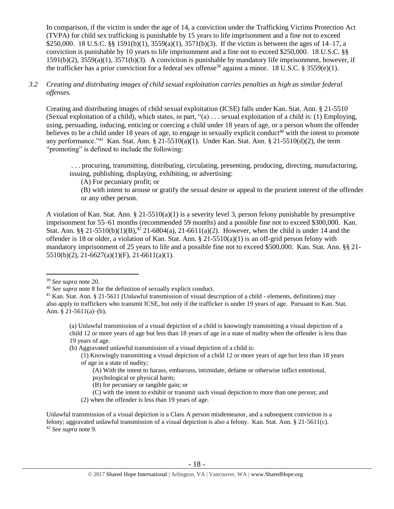In comparison, if the victim is under the age of 14, a conviction under the Trafficking Victims Protection Act (TVPA) for child sex trafficking is punishable by 15 years to life imprisonment and a fine not to exceed \$250,000. 18 U.S.C. §§ 1591(b)(1), 3559(a)(1), 3571(b)(3). If the victim is between the ages of 14–17, a conviction is punishable by 10 years to life imprisonment and a fine not to exceed \$250,000. 18 U.S.C. §§ 1591(b)(2), 3559(a)(1), 3571(b)(3). A conviction is punishable by mandatory life imprisonment, however, if the trafficker has a prior conviction for a federal sex offense<sup>39</sup> against a minor. 18 U.S.C. § 3559(e)(1).

## *3.2 Creating and distributing images of child sexual exploitation carries penalties as high as similar federal offenses.*

Creating and distributing images of child sexual exploitation (ICSE) falls under Kan. Stat. Ann. § 21-5510 (Sexual exploitation of a child), which states, in part, "(a) . . . sexual exploitation of a child is: (1) Employing, using, persuading, inducing, enticing or coercing a child under 18 years of age, or a person whom the offender believes to be a child under 18 years of age, to engage in sexually explicit conduct<sup>40</sup> with the intent to promote any performance."<sup>41</sup> Kan. Stat. Ann. § 21-5510(a)(1). Under Kan. Stat. Ann. § 21-5510(d)(2), the term "promoting" is defined to include the following:

. . . procuring, transmitting, distributing, circulating, presenting, producing, directing, manufacturing, issuing, publishing, displaying, exhibiting, or advertising:

(A) For pecuniary profit; or

(B) with intent to arouse or gratify the sexual desire or appeal to the prurient interest of the offender or any other person.

A violation of Kan. Stat. Ann. § 21-5510(a)(1) is a severity level 3, person felony punishable by presumptive imprisonment for 55–61 months (recommended 59 months) and a possible fine not to exceed \$300,000. Kan. Stat. Ann. §§ 21-5510(b)(1)(B),<sup>42</sup> 21-6804(a), 21-6611(a)(2). However, when the child is under 14 and the offender is 18 or older, a violation of Kan. Stat. Ann. § 21-5510(a)(1) is an off-grid person felony with mandatory imprisonment of 25 years to life and a possible fine not to exceed \$500,000. Kan. Stat. Ann. §§ 21- 5510(b)(2), 21-6627(a)(1)(F), 21-6611(a)(1).

 $\overline{a}$ 

(b) Aggravated unlawful transmission of a visual depiction of a child is:

- (C) with the intent to exhibit or transmit such visual depiction to more than one person; and
- (2) when the offender is less than 19 years of age.

<sup>39</sup> *See supra* note [20.](#page-9-0)

<sup>40</sup> *See supra* note [8](#page-3-1) for the definition of sexually explicit conduct.

<sup>&</sup>lt;sup>41</sup> Kan. Stat. Ann. § 21-5611 (Unlawful transmission of visual description of a child - elements, definitions) may also apply to traffickers who transmit ICSE, but only if the trafficker is under 19 years of age. Pursuant to Kan. Stat. Ann. § 21-5611(a)–(b),

<sup>(</sup>a) Unlawful transmission of a visual depiction of a child is knowingly transmitting a visual depiction of a child 12 or more years of age but less than 18 years of age in a state of nudity when the offender is less than 19 years of age.

<sup>(1)</sup> Knowingly transmitting a visual depiction of a child 12 or more years of age but less than 18 years of age in a state of nudity;

<sup>(</sup>A) With the intent to harass, embarrass, intimidate, defame or otherwise inflict emotional, psychological or physical harm;

<sup>(</sup>B) for pecuniary or tangible gain; or

Unlawful transmission of a visual depiction is a Class A person misdemeanor, and a subsequent conviction is a felony; aggravated unlawful transmission of a visual depiction is also a felony. Kan. Stat. Ann. § 21-5611(c). <sup>42</sup> *See supra* note 9.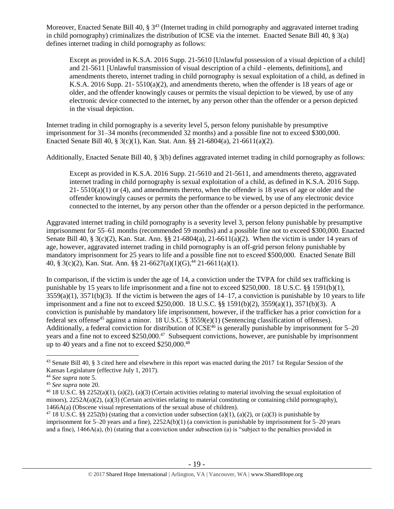Moreover, Enacted Senate Bill 40, § 3<sup>43</sup> (Internet trading in child pornography and aggravated internet trading in child pornography) criminalizes the distribution of ICSE via the internet. Enacted Senate Bill 40, § 3(a) defines internet trading in child pornography as follows:

<span id="page-18-0"></span>Except as provided in K.S.A. 2016 Supp. 21-5610 [Unlawful possession of a visual depiction of a child] and 21-5611 [Unlawful transmission of visual description of a child - elements, definitions], and amendments thereto, internet trading in child pornography is sexual exploitation of a child, as defined in K.S.A. 2016 Supp. 21-  $5510(a)(2)$ , and amendments thereto, when the offender is 18 years of age or older, and the offender knowingly causes or permits the visual depiction to be viewed, by use of any electronic device connected to the internet, by any person other than the offender or a person depicted in the visual depiction.

Internet trading in child pornography is a severity level 5, person felony punishable by presumptive imprisonment for 31–34 months (recommended 32 months) and a possible fine not to exceed \$300,000. Enacted Senate Bill 40, § 3(c)(1), Kan. Stat. Ann. §§ 21-6804(a), 21-6611(a)(2).

Additionally, Enacted Senate Bill 40, § 3(b) defines aggravated internet trading in child pornography as follows:

Except as provided in K.S.A. 2016 Supp. 21-5610 and 21-5611, and amendments thereto, aggravated internet trading in child pornography is sexual exploitation of a child, as defined in K.S.A. 2016 Supp.  $21 - 5510(a)(1)$  or (4), and amendments thereto, when the offender is 18 years of age or older and the offender knowingly causes or permits the performance to be viewed, by use of any electronic device connected to the internet, by any person other than the offender or a person depicted in the performance.

Aggravated internet trading in child pornography is a severity level 3, person felony punishable by presumptive imprisonment for 55–61 months (recommended 59 months) and a possible fine not to exceed \$300,000. Enacted Senate Bill 40, § 3(c)(2), Kan. Stat. Ann. §§ 21-6804(a), 21-6611(a)(2). When the victim is under 14 years of age, however, aggravated internet trading in child pornography is an off-grid person felony punishable by mandatory imprisonment for 25 years to life and a possible fine not to exceed \$500,000. Enacted Senate Bill 40, § 3(c)(2), Kan. Stat. Ann. §§ 21-6627(a)(1)(G),  $^{44}$  21-6611(a)(1).

In comparison, if the victim is under the age of 14, a conviction under the TVPA for child sex trafficking is punishable by 15 years to life imprisonment and a fine not to exceed \$250,000. 18 U.S.C. §§ 1591(b)(1),  $3559(a)(1)$ ,  $3571(b)(3)$ . If the victim is between the ages of  $14-17$ , a conviction is punishable by 10 years to life imprisonment and a fine not to exceed \$250,000. 18 U.S.C. §§ 1591(b)(2), 3559(a)(1), 3571(b)(3). A conviction is punishable by mandatory life imprisonment, however, if the trafficker has a prior conviction for a federal sex offense<sup>45</sup> against a minor. 18 U.S.C. § 3559(e)(1) (Sentencing classification of offenses). Additionally, a federal conviction for distribution of ICSE<sup>46</sup> is generally punishable by imprisonment for 5–20 years and a fine not to exceed \$250,000.<sup>47</sup> Subsequent convictions, however, are punishable by imprisonment up to 40 years and a fine not to exceed  $$250,000.<sup>48</sup>$ 

<sup>&</sup>lt;sup>43</sup> Senate Bill 40, § 3 cited here and elsewhere in this report was enacted during the 2017 1st Regular Session of the Kansas Legislature (effective July 1, 2017).

<sup>44</sup> *See supra* note [5.](#page-1-0)

<sup>45</sup> *See supra* note [20.](#page-9-0)

<sup>46</sup> 18 U.S.C. §§ 2252(a)(1), (a)(2), (a)(3) (Certain activities relating to material involving the sexual exploitation of minors),  $2252A(a)(2)$ ,  $(a)(3)$  (Certain activities relating to material constituting or containing child pornography), 1466A(a) (Obscene visual representations of the sexual abuse of children).

<sup>&</sup>lt;sup>47</sup> 18 U.S.C. §§ 2252(b) (stating that a conviction under subsection (a)(1), (a)(2), or (a)(3) is punishable by imprisonment for  $5-20$  years and a fine),  $2252A(b)(1)$  (a conviction is punishable by imprisonment for  $5-20$  years and a fine), 1466A(a), (b) (stating that a conviction under subsection (a) is "subject to the penalties provided in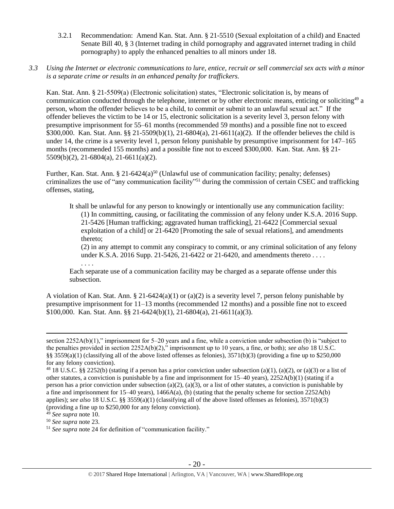- 3.2.1 Recommendation: Amend Kan. Stat. Ann. § 21-5510 (Sexual exploitation of a child) and Enacted Senate Bill 40, § 3 (Internet trading in child pornography and aggravated internet trading in child pornography) to apply the enhanced penalties to all minors under 18.
- *3.3 Using the Internet or electronic communications to lure, entice, recruit or sell commercial sex acts with a minor is a separate crime or results in an enhanced penalty for traffickers.*

Kan. Stat. Ann. § 21-5509(a) (Electronic solicitation) states, "Electronic solicitation is, by means of communication conducted through the telephone, internet or by other electronic means, enticing or soliciting<sup>49</sup> a person, whom the offender believes to be a child, to commit or submit to an unlawful sexual act." If the offender believes the victim to be 14 or 15, electronic solicitation is a severity level 3, person felony with presumptive imprisonment for 55–61 months (recommended 59 months) and a possible fine not to exceed \$300,000. Kan. Stat. Ann. §§ 21-5509(b)(1), 21-6804(a), 21-6611(a)(2). If the offender believes the child is under 14, the crime is a severity level 1, person felony punishable by presumptive imprisonment for 147–165 months (recommended 155 months) and a possible fine not to exceed \$300,000. Kan. Stat. Ann. §§ 21- 5509(b)(2), 21-6804(a), 21-6611(a)(2).

Further, Kan. Stat. Ann. § 21-6424(a)<sup>50</sup> (Unlawful use of communication facility; penalty; defenses) criminalizes the use of "any communication facility"<sup>51</sup> during the commission of certain CSEC and trafficking offenses, stating,

It shall be unlawful for any person to knowingly or intentionally use any communication facility: (1) In committing, causing, or facilitating the commission of any felony under K.S.A. 2016 Supp. 21-5426 [Human trafficking; aggravated human trafficking], 21-6422 [Commercial sexual exploitation of a child] or 21-6420 [Promoting the sale of sexual relations], and amendments thereto;

(2) in any attempt to commit any conspiracy to commit, or any criminal solicitation of any felony under K.S.A. 2016 Supp. 21-5426, 21-6422 or 21-6420, and amendments thereto . . . .

Each separate use of a communication facility may be charged as a separate offense under this subsection.

A violation of Kan. Stat. Ann. § 21-6424(a)(1) or (a)(2) is a severity level 7, person felony punishable by presumptive imprisonment for 11–13 months (recommended 12 months) and a possible fine not to exceed \$100,000. Kan. Stat. Ann. §§ 21-6424(b)(1), 21-6804(a), 21-6611(a)(3).

 $\overline{a}$ 

. . . .

section 2252A(b)(1)," imprisonment for 5–20 years and a fine, while a conviction under subsection (b) is "subject to the penalties provided in section 2252A(b)(2)," imprisonment up to 10 years, a fine, or both); *see also* 18 U.S.C. §§ 3559(a)(1) (classifying all of the above listed offenses as felonies),  $3571(b)(3)$  (providing a fine up to \$250,000 for any felony conviction).

<sup>&</sup>lt;sup>48</sup> 18 U.S.C. §§ 2252(b) (stating if a person has a prior conviction under subsection (a)(1), (a)(2), or (a)(3) or a list of other statutes, a conviction is punishable by a fine and imprisonment for 15–40 years), 2252A(b)(1) (stating if a person has a prior conviction under subsection (a)(2), (a)(3), or a list of other statutes, a conviction is punishable by a fine and imprisonment for 15–40 years), 1466A(a), (b) (stating that the penalty scheme for section 2252A(b) applies); *see also* 18 U.S.C. §§ 3559(a)(1) (classifying all of the above listed offenses as felonies), 3571(b)(3) (providing a fine up to \$250,000 for any felony conviction).

<sup>49</sup> *See supra* note [10.](#page-4-0) 

<sup>50</sup> *See supra* note [23.](#page-10-0)

<sup>51</sup> *See supra* note [24](#page-10-1) for definition of "communication facility."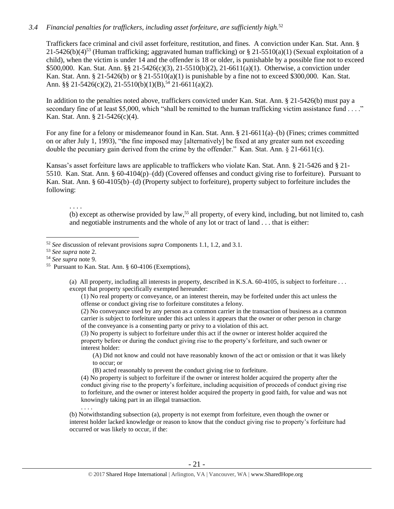#### *3.4 Financial penalties for traffickers, including asset forfeiture, are sufficiently high.*<sup>52</sup>

Traffickers face criminal and civil asset forfeiture, restitution, and fines. A conviction under Kan. Stat. Ann. § 21-5426(b)(4)<sup>53</sup> (Human trafficking; aggravated human trafficking) or § 21-5510(a)(1) (Sexual exploitation of a child), when the victim is under 14 and the offender is 18 or older, is punishable by a possible fine not to exceed \$500,000. Kan. Stat. Ann. §§ 21-5426(c)(3), 21-5510(b)(2), 21-6611(a)(1). Otherwise, a conviction under Kan. Stat. Ann. § 21-5426(b) or § 21-5510(a)(1) is punishable by a fine not to exceed \$300,000. Kan. Stat. Ann. §§ 21-5426(c)(2), 21-5510(b)(1)(B),<sup>54</sup> 21-6611(a)(2).

In addition to the penalties noted above, traffickers convicted under Kan. Stat. Ann. § 21-5426(b) must pay a secondary fine of at least \$5,000, which "shall be remitted to the human trafficking victim assistance fund . . . ." Kan. Stat. Ann. § 21-5426(c)(4).

For any fine for a felony or misdemeanor found in Kan. Stat. Ann. § 21-6611(a)–(b) (Fines; crimes committed on or after July 1, 1993), "the fine imposed may [alternatively] be fixed at any greater sum not exceeding double the pecuniary gain derived from the crime by the offender." Kan. Stat. Ann. § 21-6611(c).

Kansas's asset forfeiture laws are applicable to traffickers who violate Kan. Stat. Ann. § 21-5426 and § 21- 5510. Kan. Stat. Ann. § 60-4104(p)–(dd) (Covered offenses and conduct giving rise to forfeiture). Pursuant to Kan. Stat. Ann. § 60-4105(b)–(d) (Property subject to forfeiture), property subject to forfeiture includes the following:

(b) except as otherwise provided by law,<sup>55</sup> all property, of every kind, including, but not limited to, cash and negotiable instruments and the whole of any lot or tract of land . . . that is either:

 $\overline{a}$ 

. . . .

. . . .

(a) All property, including all interests in property, described in K.S.A. 60-4105, is subject to forfeiture . . . except that property specifically exempted hereunder:

(1) No real property or conveyance, or an interest therein, may be forfeited under this act unless the offense or conduct giving rise to forfeiture constitutes a felony.

(2) No conveyance used by any person as a common carrier in the transaction of business as a common carrier is subject to forfeiture under this act unless it appears that the owner or other person in charge of the conveyance is a consenting party or privy to a violation of this act.

(3) No property is subject to forfeiture under this act if the owner or interest holder acquired the property before or during the conduct giving rise to the property's forfeiture, and such owner or interest holder:

(A) Did not know and could not have reasonably known of the act or omission or that it was likely to occur; or

(B) acted reasonably to prevent the conduct giving rise to forfeiture.

(4) No property is subject to forfeiture if the owner or interest holder acquired the property after the conduct giving rise to the property's forfeiture, including acquisition of proceeds of conduct giving rise to forfeiture, and the owner or interest holder acquired the property in good faith, for value and was not knowingly taking part in an illegal transaction.

(b) Notwithstanding subsection (a), property is not exempt from forfeiture, even though the owner or interest holder lacked knowledge or reason to know that the conduct giving rise to property's forfeiture had occurred or was likely to occur, if the:

<sup>52</sup> *See* discussion of relevant provisions *supra* Components 1.1, 1.2, and 3.1.

<sup>53</sup> *See supra* note [2.](#page-0-0)

<sup>54</sup> *See supra* note [9.](#page-3-0)

<sup>55</sup> Pursuant to Kan. Stat. Ann. § 60-4106 (Exemptions),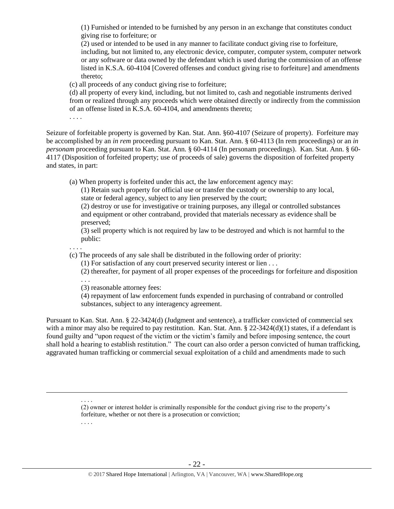(1) Furnished or intended to be furnished by any person in an exchange that constitutes conduct giving rise to forfeiture; or

(2) used or intended to be used in any manner to facilitate conduct giving rise to forfeiture, including, but not limited to, any electronic device, computer, computer system, computer network or any software or data owned by the defendant which is used during the commission of an offense listed in K.S.A. 60-4104 [Covered offenses and conduct giving rise to forfeiture] and amendments thereto;

(c) all proceeds of any conduct giving rise to forfeiture;

(d) all property of every kind, including, but not limited to, cash and negotiable instruments derived from or realized through any proceeds which were obtained directly or indirectly from the commission of an offense listed in K.S.A. 60-4104, and amendments thereto;

. . . .

Seizure of forfeitable property is governed by Kan. Stat. Ann. §60-4107 (Seizure of property). Forfeiture may be accomplished by an *in rem* proceeding pursuant to Kan. Stat. Ann. § 60-4113 (In rem proceedings) or an *in personam* proceeding pursuant to Kan. Stat. Ann. § 60-4114 (In personam proceedings). Kan. Stat. Ann. § 60- 4117 (Disposition of forfeited property; use of proceeds of sale) governs the disposition of forfeited property and states, in part:

(a) When property is forfeited under this act, the law enforcement agency may:

(1) Retain such property for official use or transfer the custody or ownership to any local, state or federal agency, subject to any lien preserved by the court;

(2) destroy or use for investigative or training purposes, any illegal or controlled substances and equipment or other contraband, provided that materials necessary as evidence shall be preserved;

(3) sell property which is not required by law to be destroyed and which is not harmful to the public:

. . . .

 $\overline{a}$ 

(c) The proceeds of any sale shall be distributed in the following order of priority:

(1) For satisfaction of any court preserved security interest or lien . . .

(2) thereafter, for payment of all proper expenses of the proceedings for forfeiture and disposition

. . .

. . . .

. . . .

(3) reasonable attorney fees:

(4) repayment of law enforcement funds expended in purchasing of contraband or controlled substances, subject to any interagency agreement.

Pursuant to Kan. Stat. Ann. § 22-3424(d) (Judgment and sentence), a trafficker convicted of commercial sex with a minor may also be required to pay restitution. Kan. Stat. Ann.  $\S$  22-3424(d)(1) states, if a defendant is found guilty and "upon request of the victim or the victim's family and before imposing sentence, the court shall hold a hearing to establish restitution." The court can also order a person convicted of human trafficking, aggravated human trafficking or commercial sexual exploitation of a child and amendments made to such

> (2) owner or interest holder is criminally responsible for the conduct giving rise to the property's forfeiture, whether or not there is a prosecution or conviction;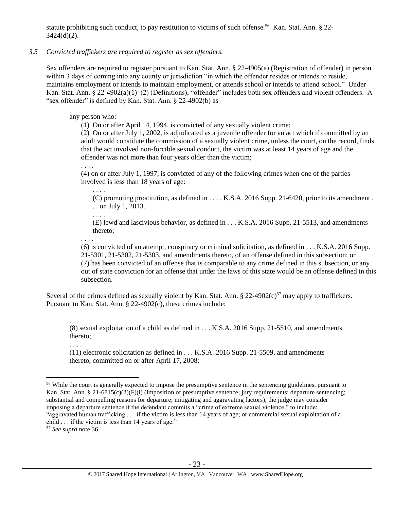statute prohibiting such conduct, to pay restitution to victims of such offense.<sup>56</sup> Kan. Stat. Ann. § 22- $3424(d)(2)$ .

#### *3.5 Convicted traffickers are required to register as sex offenders.*

Sex offenders are required to register pursuant to Kan. Stat. Ann. § 22-4905(a) (Registration of offender) in person within 3 days of coming into any county or jurisdiction "in which the offender resides or intends to reside, maintains employment or intends to maintain employment, or attends school or intends to attend school." Under Kan. Stat. Ann. § 22-4902(a)(1)–(2) (Definitions), "offender" includes both sex offenders and violent offenders. A "sex offender" is defined by Kan. Stat. Ann. § 22-4902(b) as

## any person who:

(1) On or after April 14, 1994, is convicted of any sexually violent crime;

(2) On or after July 1, 2002, is adjudicated as a juvenile offender for an act which if committed by an adult would constitute the commission of a sexually violent crime, unless the court, on the record, finds that the act involved non-forcible sexual conduct, the victim was at least 14 years of age and the offender was not more than four years older than the victim;

. . . .

(4) on or after July 1, 1997, is convicted of any of the following crimes when one of the parties involved is less than 18 years of age:

. . . .

(C) promoting prostitution, as defined in . . . . K.S.A. 2016 Supp. 21-6420, prior to its amendment . . . on July 1, 2013.

. . . . (E) lewd and lascivious behavior, as defined in . . . K.S.A. 2016 Supp. 21-5513, and amendments thereto;

. . . .

(6) is convicted of an attempt, conspiracy or criminal solicitation, as defined in . . . K.S.A. 2016 Supp. 21-5301, 21-5302, 21-5303, and amendments thereto, of an offense defined in this subsection; or (7) has been convicted of an offense that is comparable to any crime defined in this subsection, or any out of state conviction for an offense that under the laws of this state would be an offense defined in this subsection.

Several of the crimes defined as sexually violent by Kan. Stat. Ann.  $\S 22-4902(c)^{57}$  may apply to traffickers. Pursuant to Kan. Stat. Ann. § 22-4902(c), these crimes include:

. . . .

(8) sexual exploitation of a child as defined in . . . K.S.A. 2016 Supp. 21-5510, and amendments thereto;

. . . .

 $\overline{a}$ 

(11) electronic solicitation as defined in . . . K.S.A. 2016 Supp. 21-5509, and amendments thereto, committed on or after April 17, 2008;

child . . . if the victim is less than 14 years of age."

<sup>&</sup>lt;sup>56</sup> While the court is generally expected to impose the presumptive sentence in the sentencing guidelines, pursuant to Kan. Stat. Ann. § 21-6815(c)(2)(F)(i) (Imposition of presumptive sentence; jury requirements; departure sentencing; substantial and compelling reasons for departure; mitigating and aggravating factors), the judge may consider imposing a departure sentence if the defendant commits a "crime of extreme sexual violence," to include: "aggravated human trafficking . . . if the victim is less than 14 years of age; or commercial sexual exploitation of a

<sup>57</sup> *See supra* note [36.](#page-14-0)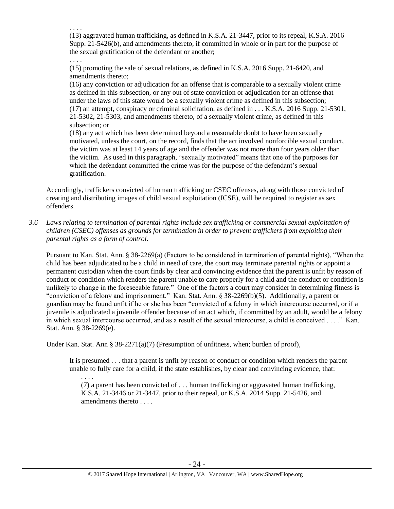. . . . (13) aggravated human trafficking, as defined in K.S.A. 21-3447, prior to its repeal, K.S.A. 2016 Supp. 21-5426(b), and amendments thereto, if committed in whole or in part for the purpose of the sexual gratification of the defendant or another;

. . . . (15) promoting the sale of sexual relations, as defined in K.S.A. 2016 Supp. 21-6420, and amendments thereto;

(16) any conviction or adjudication for an offense that is comparable to a sexually violent crime as defined in this subsection, or any out of state conviction or adjudication for an offense that under the laws of this state would be a sexually violent crime as defined in this subsection; (17) an attempt, conspiracy or criminal solicitation, as defined in . . . K.S.A. 2016 Supp. 21-5301, 21-5302, 21-5303, and amendments thereto, of a sexually violent crime, as defined in this subsection; or

(18) any act which has been determined beyond a reasonable doubt to have been sexually motivated, unless the court, on the record, finds that the act involved nonforcible sexual conduct, the victim was at least 14 years of age and the offender was not more than four years older than the victim. As used in this paragraph, "sexually motivated" means that one of the purposes for which the defendant committed the crime was for the purpose of the defendant's sexual gratification.

Accordingly, traffickers convicted of human trafficking or CSEC offenses, along with those convicted of creating and distributing images of child sexual exploitation (ICSE), will be required to register as sex offenders.

*3.6 Laws relating to termination of parental rights include sex trafficking or commercial sexual exploitation of children (CSEC) offenses as grounds for termination in order to prevent traffickers from exploiting their parental rights as a form of control.* 

Pursuant to Kan. Stat. Ann. § 38-2269(a) (Factors to be considered in termination of parental rights), "When the child has been adjudicated to be a child in need of care, the court may terminate parental rights or appoint a permanent custodian when the court finds by clear and convincing evidence that the parent is unfit by reason of conduct or condition which renders the parent unable to care properly for a child and the conduct or condition is unlikely to change in the foreseeable future." One of the factors a court may consider in determining fitness is "conviction of a felony and imprisonment." Kan. Stat. Ann. § 38-2269(b)(5). Additionally, a parent or guardian may be found unfit if he or she has been "convicted of a felony in which intercourse occurred, or if a juvenile is adjudicated a juvenile offender because of an act which, if committed by an adult, would be a felony in which sexual intercourse occurred, and as a result of the sexual intercourse, a child is conceived . . . ." Kan. Stat. Ann. § 38-2269(e).

Under Kan. Stat. Ann § 38-2271(a)(7) (Presumption of unfitness, when; burden of proof),

It is presumed . . . that a parent is unfit by reason of conduct or condition which renders the parent unable to fully care for a child, if the state establishes, by clear and convincing evidence, that:

. . . . (7) a parent has been convicted of . . . human trafficking or aggravated human trafficking, K.S.A. 21-3446 or 21-3447, prior to their repeal, or K.S.A. 2014 Supp. 21-5426, and amendments thereto . . . .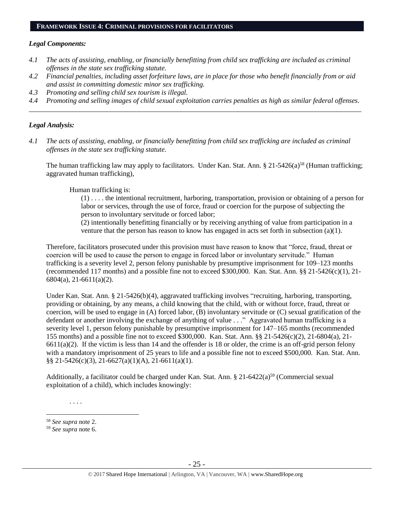#### **FRAMEWORK ISSUE 4: CRIMINAL PROVISIONS FOR FACILITATORS**

## *Legal Components:*

- *4.1 The acts of assisting, enabling, or financially benefitting from child sex trafficking are included as criminal offenses in the state sex trafficking statute.*
- *4.2 Financial penalties, including asset forfeiture laws, are in place for those who benefit financially from or aid and assist in committing domestic minor sex trafficking.*
- *4.3 Promoting and selling child sex tourism is illegal.*
- *4.4 Promoting and selling images of child sexual exploitation carries penalties as high as similar federal offenses. \_\_\_\_\_\_\_\_\_\_\_\_\_\_\_\_\_\_\_\_\_\_\_\_\_\_\_\_\_\_\_\_\_\_\_\_\_\_\_\_\_\_\_\_\_\_\_\_\_\_\_\_\_\_\_\_\_\_\_\_\_\_\_\_\_\_\_\_\_\_\_\_\_\_\_\_\_\_\_\_\_\_\_\_\_\_\_\_\_\_\_\_\_\_*

## *Legal Analysis:*

*4.1 The acts of assisting, enabling, or financially benefitting from child sex trafficking are included as criminal offenses in the state sex trafficking statute.*

The human trafficking law may apply to facilitators. Under Kan. Stat. Ann.  $\S 21-5426(a)^{58}$  (Human trafficking; aggravated human trafficking),

Human trafficking is:

(1) . . . . the intentional recruitment, harboring, transportation, provision or obtaining of a person for labor or services, through the use of force, fraud or coercion for the purpose of subjecting the person to involuntary servitude or forced labor;

(2) intentionally benefitting financially or by receiving anything of value from participation in a venture that the person has reason to know has engaged in acts set forth in subsection (a)(1).

Therefore, facilitators prosecuted under this provision must have reason to know that "force, fraud, threat or coercion will be used to cause the person to engage in forced labor or involuntary servitude." Human trafficking is a severity level 2, person felony punishable by presumptive imprisonment for 109–123 months (recommended 117 months) and a possible fine not to exceed \$300,000. Kan. Stat. Ann.  $\S$ § 21-5426(c)(1), 21-6804(a), 21-6611(a)(2).

Under Kan. Stat. Ann. § 21-5426(b)(4), aggravated trafficking involves "recruiting, harboring, transporting, providing or obtaining, by any means, a child knowing that the child, with or without force, fraud, threat or coercion, will be used to engage in (A) forced labor, (B) involuntary servitude or (C) sexual gratification of the defendant or another involving the exchange of anything of value . . ." Aggravated human trafficking is a severity level 1, person felony punishable by presumptive imprisonment for 147–165 months (recommended 155 months) and a possible fine not to exceed \$300,000. Kan. Stat. Ann. §§ 21-5426(c)(2), 21-6804(a), 21-  $6611(a)(2)$ . If the victim is less than 14 and the offender is 18 or older, the crime is an off-grid person felony with a mandatory imprisonment of 25 years to life and a possible fine not to exceed \$500,000. Kan. Stat. Ann.  $\S$ § 21-5426(c)(3), 21-6627(a)(1)(A), 21-6611(a)(1).

Additionally, a facilitator could be charged under Kan. Stat. Ann. § 21-6422(a)<sup>59</sup> (Commercial sexual exploitation of a child), which includes knowingly:

. . . .

<sup>58</sup> *See supra* note [2.](#page-0-0)

<sup>59</sup> *See supra* note [6.](#page-2-0)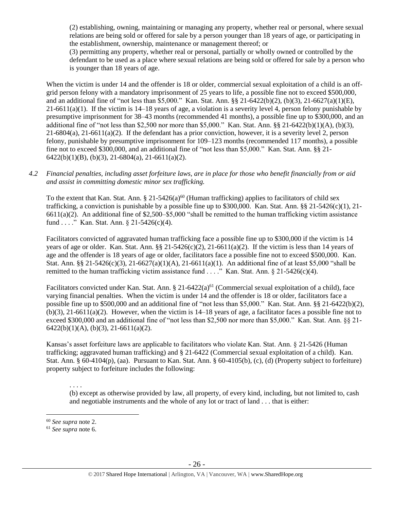(2) establishing, owning, maintaining or managing any property, whether real or personal, where sexual relations are being sold or offered for sale by a person younger than 18 years of age, or participating in the establishment, ownership, maintenance or management thereof; or

(3) permitting any property, whether real or personal, partially or wholly owned or controlled by the defendant to be used as a place where sexual relations are being sold or offered for sale by a person who is younger than 18 years of age.

When the victim is under 14 and the offender is 18 or older, commercial sexual exploitation of a child is an offgrid person felony with a mandatory imprisonment of 25 years to life, a possible fine not to exceed \$500,000, and an additional fine of "not less than \$5,000." Kan. Stat. Ann. §§ 21-6422(b)(2), (b)(3), 21-6627(a)(1)(E),  $21-6611(a)(1)$ . If the victim is  $14-18$  years of age, a violation is a severity level 4, person felony punishable by presumptive imprisonment for 38–43 months (recommended 41 months), a possible fine up to \$300,000, and an additional fine of "not less than \$2,500 nor more than \$5,000." Kan. Stat. Ann. §§ 21-6422(b)(1)(A), (b)(3), 21-6804(a), 21-6611(a)(2). If the defendant has a prior conviction, however, it is a severity level 2, person felony, punishable by presumptive imprisonment for 109–123 months (recommended 117 months), a possible fine not to exceed \$300,000, and an additional fine of "not less than \$5,000." Kan. Stat. Ann. §§ 21- 6422(b)(1)(B), (b)(3), 21-6804(a), 21-6611(a)(2).

## *4.2 Financial penalties, including asset forfeiture laws, are in place for those who benefit financially from or aid and assist in committing domestic minor sex trafficking.*

To the extent that Kan. Stat. Ann. § 21-5426(a)<sup>60</sup> (Human trafficking) applies to facilitators of child sex trafficking, a conviction is punishable by a possible fine up to \$300,000. Kan. Stat. Ann. §§ 21-5426(c)(1), 21- $6611(a)(2)$ . An additional fine of \$2,500–\$5,000 "shall be remitted to the human trafficking victim assistance fund . . . ." Kan. Stat. Ann. § 21-5426(c)(4).

Facilitators convicted of aggravated human trafficking face a possible fine up to \$300,000 if the victim is 14 years of age or older. Kan. Stat. Ann. §§ 21-5426(c)(2), 21-6611(a)(2). If the victim is less than 14 years of age and the offender is 18 years of age or older, facilitators face a possible fine not to exceed \$500,000. Kan. Stat. Ann. §§ 21-5426(c)(3), 21-6627(a)(1)(A), 21-6611(a)(1). An additional fine of at least \$5,000 "shall be remitted to the human trafficking victim assistance fund . . . ." Kan. Stat. Ann. § 21-5426(c)(4).

Facilitators convicted under Kan. Stat. Ann. § 21-6422(a)<sup>61</sup> (Commercial sexual exploitation of a child), face varying financial penalties. When the victim is under 14 and the offender is 18 or older, facilitators face a possible fine up to \$500,000 and an additional fine of "not less than \$5,000." Kan. Stat. Ann. §§ 21-6422(b)(2),  $(b)(3)$ , 21-6611(a)(2). However, when the victim is 14–18 years of age, a facilitator faces a possible fine not to exceed \$300,000 and an additional fine of "not less than \$2,500 nor more than \$5,000." Kan. Stat. Ann. §§ 21-  $6422(b)(1)(A), (b)(3), 21-6611(a)(2).$ 

Kansas's asset forfeiture laws are applicable to facilitators who violate Kan. Stat. Ann. § 21-5426 (Human trafficking; aggravated human trafficking) and § 21-6422 (Commercial sexual exploitation of a child). Kan. Stat. Ann. § 60-4104(p), (aa). Pursuant to Kan. Stat. Ann. § 60-4105(b), (c), (d) (Property subject to forfeiture) property subject to forfeiture includes the following:

. . . . (b) except as otherwise provided by law, all property, of every kind, including, but not limited to, cash and negotiable instruments and the whole of any lot or tract of land . . . that is either:

<sup>60</sup> *See supra* note [2.](#page-0-0)

<sup>61</sup> *See supra* note [6.](#page-2-0)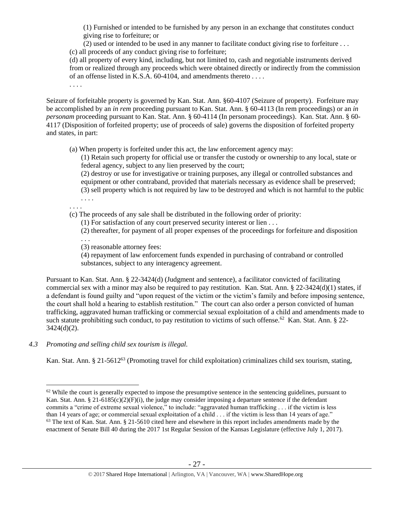(1) Furnished or intended to be furnished by any person in an exchange that constitutes conduct giving rise to forfeiture; or

(2) used or intended to be used in any manner to facilitate conduct giving rise to forfeiture . . . (c) all proceeds of any conduct giving rise to forfeiture;

(d) all property of every kind, including, but not limited to, cash and negotiable instruments derived from or realized through any proceeds which were obtained directly or indirectly from the commission of an offense listed in K.S.A. 60-4104, and amendments thereto . . . .

. . . .

. . . .

Seizure of forfeitable property is governed by Kan. Stat. Ann. §60-4107 (Seizure of property). Forfeiture may be accomplished by an *in rem* proceeding pursuant to Kan. Stat. Ann. § 60-4113 (In rem proceedings) or an *in personam* proceeding pursuant to Kan. Stat. Ann. § 60-4114 (In personam proceedings). Kan. Stat. Ann. § 60-4117 (Disposition of forfeited property; use of proceeds of sale) governs the disposition of forfeited property and states, in part:

(a) When property is forfeited under this act, the law enforcement agency may:

(1) Retain such property for official use or transfer the custody or ownership to any local, state or federal agency, subject to any lien preserved by the court;

(2) destroy or use for investigative or training purposes, any illegal or controlled substances and equipment or other contraband, provided that materials necessary as evidence shall be preserved; (3) sell property which is not required by law to be destroyed and which is not harmful to the public . . . .

(c) The proceeds of any sale shall be distributed in the following order of priority:

(1) For satisfaction of any court preserved security interest or lien . . .

(2) thereafter, for payment of all proper expenses of the proceedings for forfeiture and disposition . . .

(3) reasonable attorney fees:

(4) repayment of law enforcement funds expended in purchasing of contraband or controlled substances, subject to any interagency agreement.

Pursuant to Kan. Stat. Ann. § 22-3424(d) (Judgment and sentence), a facilitator convicted of facilitating commercial sex with a minor may also be required to pay restitution. Kan. Stat. Ann.  $\S 22-3424(d)(1)$  states, if a defendant is found guilty and "upon request of the victim or the victim's family and before imposing sentence, the court shall hold a hearing to establish restitution." The court can also order a person convicted of human trafficking, aggravated human trafficking or commercial sexual exploitation of a child and amendments made to such statute prohibiting such conduct, to pay restitution to victims of such offense.<sup>62</sup> Kan. Stat. Ann. § 22-3424(d)(2).

*4.3 Promoting and selling child sex tourism is illegal.*

Kan. Stat. Ann. § 21-5612<sup>63</sup> (Promoting travel for child exploitation) criminalizes child sex tourism, stating,

 $\overline{a}$  $62$  While the court is generally expected to impose the presumptive sentence in the sentencing guidelines, pursuant to Kan. Stat. Ann. § 21-6185(c)(2)(F)(i), the judge may consider imposing a departure sentence if the defendant commits a "crime of extreme sexual violence," to include: "aggravated human trafficking . . . if the victim is less than 14 years of age; or commercial sexual exploitation of a child . . . if the victim is less than 14 years of age."  $63$  The text of Kan. Stat. Ann. § 21-5610 cited here and elsewhere in this report includes amendments made by the enactment of Senate Bill 40 during the 2017 1st Regular Session of the Kansas Legislature (effective July 1, 2017).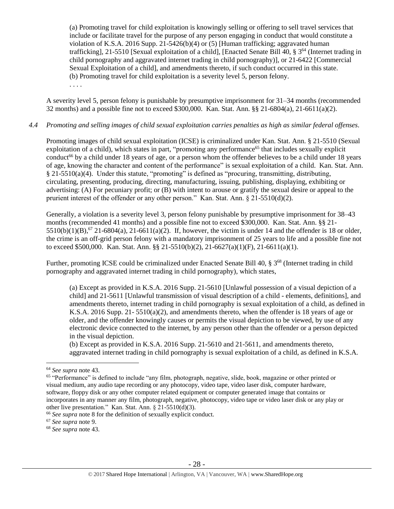(a) Promoting travel for child exploitation is knowingly selling or offering to sell travel services that include or facilitate travel for the purpose of any person engaging in conduct that would constitute a violation of K.S.A. 2016 Supp.  $21-5426(b)(4)$  or (5) [Human trafficking; aggravated human trafficking], 21-5510 [Sexual exploitation of a child], [Enacted Senate Bill 40,  $\S 3^{64}$  (Internet trading in child pornography and aggravated internet trading in child pornography)], or 21-6422 [Commercial Sexual Exploitation of a child], and amendments thereto, if such conduct occurred in this state. (b) Promoting travel for child exploitation is a severity level 5, person felony.

. . . .

A severity level 5, person felony is punishable by presumptive imprisonment for 31–34 months (recommended 32 months) and a possible fine not to exceed \$300,000. Kan. Stat. Ann. §§ 21-6804(a), 21-6611(a)(2).

## *4.4 Promoting and selling images of child sexual exploitation carries penalties as high as similar federal offenses.*

Promoting images of child sexual exploitation (ICSE) is criminalized under Kan. Stat. Ann. § 21-5510 (Sexual exploitation of a child), which states in part, "promoting any performance<sup>65</sup> that includes sexually explicit conduct<sup>66</sup> by a child under 18 years of age, or a person whom the offender believes to be a child under 18 years of age, knowing the character and content of the performance" is sexual exploitation of a child. Kan. Stat. Ann. § 21-5510(a)(4). Under this statute, "promoting" is defined as "procuring, transmitting, distributing, circulating, presenting, producing, directing, manufacturing, issuing, publishing, displaying, exhibiting or advertising: (A) For pecuniary profit; or (B) with intent to arouse or gratify the sexual desire or appeal to the prurient interest of the offender or any other person." Kan. Stat. Ann. § 21-5510(d)(2).

Generally, a violation is a severity level 3, person felony punishable by presumptive imprisonment for 38–43 months (recommended 41 months) and a possible fine not to exceed \$300,000. Kan. Stat. Ann. §§ 21-  $5510(b)(1)(B)$ , <sup>67</sup> 21-6804(a), 21-6611(a)(2). If, however, the victim is under 14 and the offender is 18 or older, the crime is an off-grid person felony with a mandatory imprisonment of 25 years to life and a possible fine not to exceed \$500,000. Kan. Stat. Ann. §§ 21-5510(b)(2), 21-6627(a)(1)(F), 21-6611(a)(1).

Further, promoting ICSE could be criminalized under Enacted Senate Bill 40, § 3<sup>68</sup> (Internet trading in child pornography and aggravated internet trading in child pornography), which states,

(a) Except as provided in K.S.A. 2016 Supp. 21-5610 [Unlawful possession of a visual depiction of a child] and 21-5611 [Unlawful transmission of visual description of a child - elements, definitions], and amendments thereto, internet trading in child pornography is sexual exploitation of a child, as defined in K.S.A. 2016 Supp. 21- 5510(a)(2), and amendments thereto, when the offender is 18 years of age or older, and the offender knowingly causes or permits the visual depiction to be viewed, by use of any electronic device connected to the internet, by any person other than the offender or a person depicted in the visual depiction.

(b) Except as provided in K.S.A. 2016 Supp. 21-5610 and 21-5611, and amendments thereto, aggravated internet trading in child pornography is sexual exploitation of a child, as defined in K.S.A.

<sup>64</sup> *See supra* note [43.](#page-18-0)

<sup>&</sup>lt;sup>65</sup> "Performance" is defined to include "any film, photograph, negative, slide, book, magazine or other printed or visual medium, any audio tape recording or any photocopy, video tape, video laser disk, computer hardware, software, floppy disk or any other computer related equipment or computer generated image that contains or incorporates in any manner any film, photograph, negative, photocopy, video tape or video laser disk or any play or other live presentation." Kan. Stat. Ann. § 21-5510(d)(3).

<sup>66</sup> *See supra* note [8](#page-3-1) for the definition of sexually explicit conduct.

<sup>67</sup> *See supra* note 9.

<sup>68</sup> *See supra* note [43.](#page-18-0)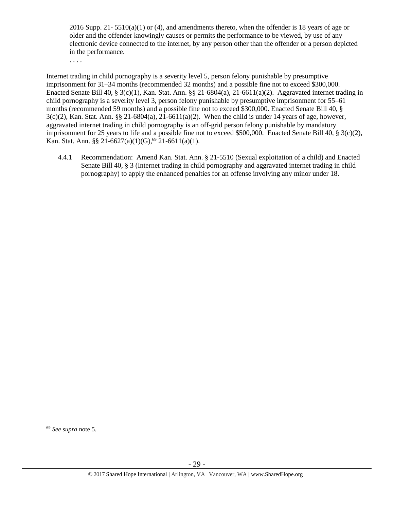2016 Supp. 21-  $5510(a)(1)$  or (4), and amendments thereto, when the offender is 18 years of age or older and the offender knowingly causes or permits the performance to be viewed, by use of any electronic device connected to the internet, by any person other than the offender or a person depicted in the performance.

. . . .

Internet trading in child pornography is a severity level 5, person felony punishable by presumptive imprisonment for 31–34 months (recommended 32 months) and a possible fine not to exceed \$300,000. Enacted Senate Bill 40, § 3(c)(1), Kan. Stat. Ann. §§ 21-6804(a), 21-6611(a)(2). Aggravated internet trading in child pornography is a severity level 3, person felony punishable by presumptive imprisonment for 55–61 months (recommended 59 months) and a possible fine not to exceed \$300,000. Enacted Senate Bill 40, §  $3(c)(2)$ , Kan. Stat. Ann. §§ 21-6804(a), 21-6611(a)(2). When the child is under 14 years of age, however, aggravated internet trading in child pornography is an off-grid person felony punishable by mandatory imprisonment for 25 years to life and a possible fine not to exceed \$500,000. Enacted Senate Bill 40,  $\S$  3(c)(2), Kan. Stat. Ann. §§ 21-6627(a)(1)(G),<sup>69</sup> 21-6611(a)(1).

4.4.1 Recommendation: Amend Kan. Stat. Ann. § 21-5510 (Sexual exploitation of a child) and Enacted Senate Bill 40, § 3 (Internet trading in child pornography and aggravated internet trading in child pornography) to apply the enhanced penalties for an offense involving any minor under 18.

<sup>69</sup> *See supra* note [5.](#page-1-0)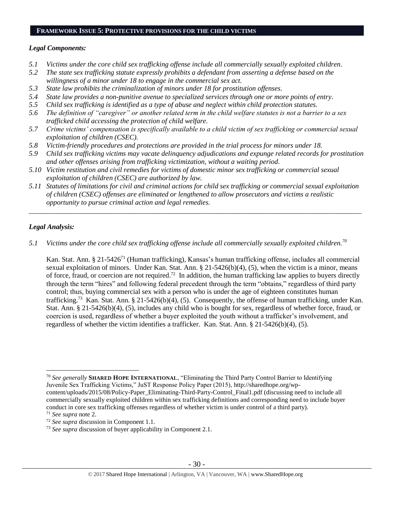#### **FRAMEWORK ISSUE 5: PROTECTIVE PROVISIONS FOR THE CHILD VICTIMS**

#### *Legal Components:*

- *5.1 Victims under the core child sex trafficking offense include all commercially sexually exploited children.*
- *5.2 The state sex trafficking statute expressly prohibits a defendant from asserting a defense based on the willingness of a minor under 18 to engage in the commercial sex act.*
- *5.3 State law prohibits the criminalization of minors under 18 for prostitution offenses.*
- *5.4 State law provides a non-punitive avenue to specialized services through one or more points of entry.*
- *5.5 Child sex trafficking is identified as a type of abuse and neglect within child protection statutes.*
- *5.6 The definition of "caregiver" or another related term in the child welfare statutes is not a barrier to a sex trafficked child accessing the protection of child welfare.*
- *5.7 Crime victims' compensation is specifically available to a child victim of sex trafficking or commercial sexual exploitation of children (CSEC).*
- *5.8 Victim-friendly procedures and protections are provided in the trial process for minors under 18.*
- *5.9 Child sex trafficking victims may vacate delinquency adjudications and expunge related records for prostitution and other offenses arising from trafficking victimization, without a waiting period.*
- *5.10 Victim restitution and civil remedies for victims of domestic minor sex trafficking or commercial sexual exploitation of children (CSEC) are authorized by law.*
- *5.11 Statutes of limitations for civil and criminal actions for child sex trafficking or commercial sexual exploitation of children (CSEC) offenses are eliminated or lengthened to allow prosecutors and victims a realistic opportunity to pursue criminal action and legal remedies.*

*\_\_\_\_\_\_\_\_\_\_\_\_\_\_\_\_\_\_\_\_\_\_\_\_\_\_\_\_\_\_\_\_\_\_\_\_\_\_\_\_\_\_\_\_\_\_\_\_\_\_\_\_\_\_\_\_\_\_\_\_\_\_\_\_\_\_\_\_\_\_\_\_\_\_\_\_\_\_\_\_\_\_\_\_\_\_\_\_\_\_\_\_\_\_*

## *Legal Analysis:*

*5.1 Victims under the core child sex trafficking offense include all commercially sexually exploited children.<sup>70</sup>* 

Kan. Stat. Ann. § 21-5426<sup>71</sup> (Human trafficking), Kansas's human trafficking offense, includes all commercial sexual exploitation of minors. Under Kan. Stat. Ann. § 21-5426(b)(4), (5), when the victim is a minor, means of force, fraud, or coercion are not required.<sup>72</sup> In addition, the human trafficking law applies to buyers directly through the term "hires" and following federal precedent through the term "obtains," regardless of third party control; thus, buying commercial sex with a person who is under the age of eighteen constitutes human trafficking.<sup>73</sup> Kan. Stat. Ann. § 21-5426(b)(4), (5). Consequently, the offense of human trafficking, under Kan. Stat. Ann. § 21-5426(b)(4), (5), includes any child who is bought for sex, regardless of whether force, fraud, or coercion is used, regardless of whether a buyer exploited the youth without a trafficker's involvement, and regardless of whether the victim identifies a trafficker. Kan. Stat. Ann. § 21-5426(b)(4), (5).

<sup>70</sup> *See generally* **SHARED HOPE INTERNATIONAL**, "Eliminating the Third Party Control Barrier to Identifying Juvenile Sex Trafficking Victims," JuST Response Policy Paper (2015), [http://sharedhope.org/wp](http://sharedhope.org/wp-content/uploads/2015/08/Policy-Paper_Eliminating-Third-Party-Control_Final1.pdf)[content/uploads/2015/08/Policy-Paper\\_Eliminating-Third-Party-Control\\_Final1.pdf](http://sharedhope.org/wp-content/uploads/2015/08/Policy-Paper_Eliminating-Third-Party-Control_Final1.pdf) (discussing need to include all commercially sexually exploited children within sex trafficking definitions and corresponding need to include buyer conduct in core sex trafficking offenses regardless of whether victim is under control of a third party).

<sup>71</sup> *See supra* note [2.](#page-0-0)

<sup>72</sup> *See supra* discussion in Component 1.1.

<sup>73</sup> *See supra* discussion of buyer applicability in Component 2.1.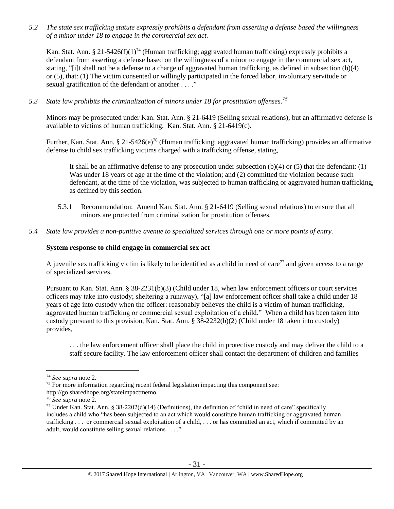*5.2 The state sex trafficking statute expressly prohibits a defendant from asserting a defense based the willingness of a minor under 18 to engage in the commercial sex act.*

Kan. Stat. Ann. § 21-5426(f)(1)<sup>74</sup> (Human trafficking; aggravated human trafficking) expressly prohibits a defendant from asserting a defense based on the willingness of a minor to engage in the commercial sex act, stating, "[i]t shall not be a defense to a charge of aggravated human trafficking, as defined in subsection (b)(4) or (5), that: (1) The victim consented or willingly participated in the forced labor, involuntary servitude or sexual gratification of the defendant or another . . . ."

*5.3 State law prohibits the criminalization of minors under 18 for prostitution offenses. 75*

Minors may be prosecuted under Kan. Stat. Ann. § 21-6419 (Selling sexual relations), but an affirmative defense is available to victims of human trafficking. Kan. Stat. Ann. § 21-6419(c).

Further, Kan. Stat. Ann. § 21-5426(e)<sup>76</sup> (Human trafficking; aggravated human trafficking) provides an affirmative defense to child sex trafficking victims charged with a trafficking offense, stating,

It shall be an affirmative defense to any prosecution under subsection (b)(4) or (5) that the defendant: (1) Was under 18 years of age at the time of the violation; and (2) committed the violation because such defendant, at the time of the violation, was subjected to human trafficking or aggravated human trafficking, as defined by this section.

- 5.3.1 Recommendation: Amend Kan. Stat. Ann. § 21-6419 (Selling sexual relations) to ensure that all minors are protected from criminalization for prostitution offenses.
- *5.4 State law provides a non-punitive avenue to specialized services through one or more points of entry.*

## **System response to child engage in commercial sex act**

A juvenile sex trafficking victim is likely to be identified as a child in need of care<sup>77</sup> and given access to a range of specialized services.

Pursuant to Kan. Stat. Ann. § 38-2231(b)(3) (Child under 18, when law enforcement officers or court services officers may take into custody; sheltering a runaway), "[a] law enforcement officer shall take a child under 18 years of age into custody when the officer: reasonably believes the child is a victim of human trafficking, aggravated human trafficking or commercial sexual exploitation of a child." When a child has been taken into custody pursuant to this provision, Kan. Stat. Ann. § 38-2232(b)(2) (Child under 18 taken into custody) provides,

. . . the law enforcement officer shall place the child in protective custody and may deliver the child to a staff secure facility. The law enforcement officer shall contact the department of children and families

<sup>74</sup> *See supra* note [2.](#page-0-0)

<sup>&</sup>lt;sup>75</sup> For more information regarding recent federal legislation impacting this component see:

http://go.sharedhope.org/stateimpactmemo.

<sup>76</sup> *See supra* note [2.](#page-0-0)

<sup>&</sup>lt;sup>77</sup> Under Kan. Stat. Ann. § 38-2202(d)(14) (Definitions), the definition of "child in need of care" specifically includes a child who "has been subjected to an act which would constitute human trafficking or aggravated human trafficking . . . or commercial sexual exploitation of a child, . . . or has committed an act, which if committed by an adult, would constitute selling sexual relations . . . ."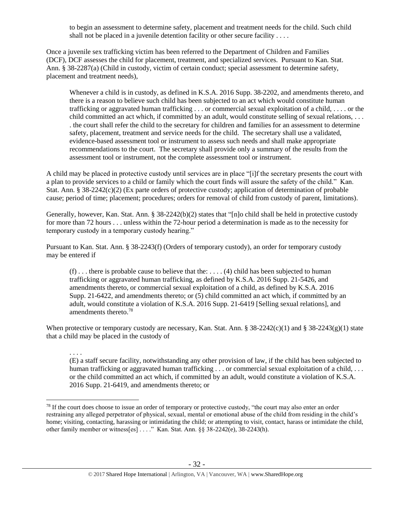to begin an assessment to determine safety, placement and treatment needs for the child. Such child shall not be placed in a juvenile detention facility or other secure facility . . . .

Once a juvenile sex trafficking victim has been referred to the Department of Children and Families (DCF), DCF assesses the child for placement, treatment, and specialized services. Pursuant to Kan. Stat. Ann. § 38-2287(a) (Child in custody, victim of certain conduct; special assessment to determine safety, placement and treatment needs),

Whenever a child is in custody, as defined in K.S.A. 2016 Supp. 38-2202, and amendments thereto, and there is a reason to believe such child has been subjected to an act which would constitute human trafficking or aggravated human trafficking . . . or commercial sexual exploitation of a child, . . . . or the child committed an act which, if committed by an adult, would constitute selling of sexual relations, . . . . the court shall refer the child to the secretary for children and families for an assessment to determine safety, placement, treatment and service needs for the child. The secretary shall use a validated, evidence-based assessment tool or instrument to assess such needs and shall make appropriate recommendations to the court. The secretary shall provide only a summary of the results from the assessment tool or instrument, not the complete assessment tool or instrument.

A child may be placed in protective custody until services are in place "[i]f the secretary presents the court with a plan to provide services to a child or family which the court finds will assure the safety of the child." Kan. Stat. Ann. § 38-2242(c)(2) (Ex parte orders of protective custody; application of determination of probable cause; period of time; placement; procedures; orders for removal of child from custody of parent, limitations).

Generally, however, Kan. Stat. Ann. § 38-2242(b)(2) states that "[n]o child shall be held in protective custody for more than 72 hours . . . unless within the 72-hour period a determination is made as to the necessity for temporary custody in a temporary custody hearing."

Pursuant to Kan. Stat. Ann. § 38-2243(f) (Orders of temporary custody), an order for temporary custody may be entered if

 $(f)$ ... there is probable cause to believe that the: ...  $(4)$  child has been subjected to human trafficking or aggravated human trafficking, as defined by K.S.A. 2016 Supp. 21-5426, and amendments thereto, or commercial sexual exploitation of a child, as defined by K.S.A. 2016 Supp. 21-6422, and amendments thereto; or (5) child committed an act which, if committed by an adult, would constitute a violation of K.S.A. 2016 Supp. 21-6419 [Selling sexual relations], and amendments thereto.<sup>78</sup>

When protective or temporary custody are necessary, Kan. Stat. Ann. § 38-2242(c)(1) and § 38-2243(g)(1) state that a child may be placed in the custody of

. . . .

(E) a staff secure facility, notwithstanding any other provision of law, if the child has been subjected to human trafficking or aggravated human trafficking . . . or commercial sexual exploitation of a child, . . . or the child committed an act which, if committed by an adult, would constitute a violation of K.S.A. 2016 Supp. 21-6419, and amendments thereto; or

 $\overline{a}$  $78$  If the court does choose to issue an order of temporary or protective custody, "the court may also enter an order restraining any alleged perpetrator of physical, sexual, mental or emotional abuse of the child from residing in the child's home; visiting, contacting, harassing or intimidating the child; or attempting to visit, contact, harass or intimidate the child, other family member or witness[es] . . . ." Kan. Stat. Ann. §§ 38-2242(e), 38-2243(h).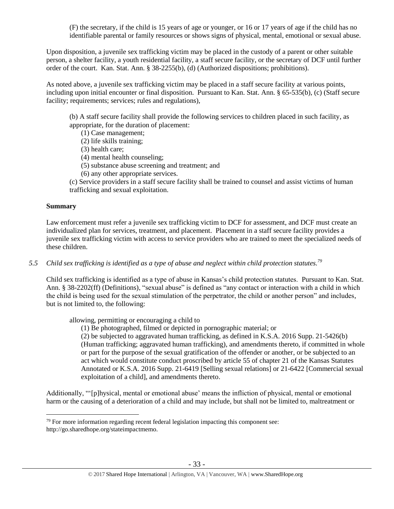(F) the secretary, if the child is 15 years of age or younger, or 16 or 17 years of age if the child has no identifiable parental or family resources or shows signs of physical, mental, emotional or sexual abuse.

Upon disposition, a juvenile sex trafficking victim may be placed in the custody of a parent or other suitable person, a shelter facility, a youth residential facility, a staff secure facility, or the secretary of DCF until further order of the court. Kan. Stat. Ann. § 38-2255(b), (d) (Authorized dispositions; prohibitions).

As noted above, a juvenile sex trafficking victim may be placed in a staff secure facility at various points, including upon initial encounter or final disposition. Pursuant to Kan. Stat. Ann. § 65-535(b), (c) (Staff secure facility; requirements; services; rules and regulations),

(b) A staff secure facility shall provide the following services to children placed in such facility, as appropriate, for the duration of placement:

- (1) Case management;
- (2) life skills training;
- (3) health care;
- (4) mental health counseling;
- (5) substance abuse screening and treatment; and
- (6) any other appropriate services.

(c) Service providers in a staff secure facility shall be trained to counsel and assist victims of human trafficking and sexual exploitation.

#### **Summary**

 $\overline{a}$ 

Law enforcement must refer a juvenile sex trafficking victim to DCF for assessment, and DCF must create an individualized plan for services, treatment, and placement. Placement in a staff secure facility provides a juvenile sex trafficking victim with access to service providers who are trained to meet the specialized needs of these children.

*5.5 Child sex trafficking is identified as a type of abuse and neglect within child protection statutes.<sup>79</sup>*

Child sex trafficking is identified as a type of abuse in Kansas's child protection statutes. Pursuant to Kan. Stat. Ann. § 38-2202(ff) (Definitions), "sexual abuse" is defined as "any contact or interaction with a child in which the child is being used for the sexual stimulation of the perpetrator, the child or another person" and includes, but is not limited to, the following:

allowing, permitting or encouraging a child to

(1) Be photographed, filmed or depicted in pornographic material; or

(2) be subjected to aggravated human trafficking, as defined in K.S.A. 2016 Supp. 21-5426(b) (Human trafficking; aggravated human trafficking), and amendments thereto, if committed in whole or part for the purpose of the sexual gratification of the offender or another, or be subjected to an act which would constitute conduct proscribed by article 55 of chapter 21 of the Kansas Statutes Annotated or K.S.A. 2016 Supp. 21-6419 [Selling sexual relations] or 21-6422 [Commercial sexual exploitation of a child], and amendments thereto.

Additionally, "'[p]hysical, mental or emotional abuse' means the infliction of physical, mental or emotional harm or the causing of a deterioration of a child and may include, but shall not be limited to, maltreatment or

 $79$  For more information regarding recent federal legislation impacting this component see: http://go.sharedhope.org/stateimpactmemo.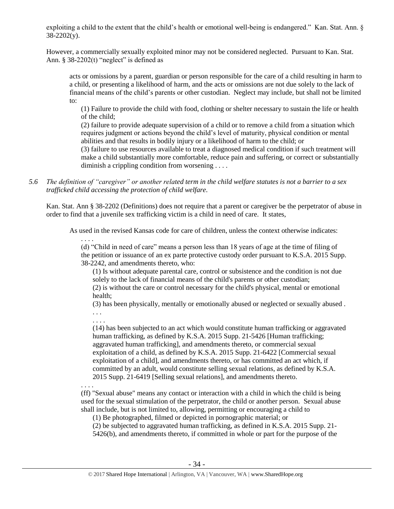exploiting a child to the extent that the child's health or emotional well-being is endangered." Kan. Stat. Ann. §  $38-2202(y)$ .

However, a commercially sexually exploited minor may not be considered neglected. Pursuant to Kan. Stat. Ann.  $§$  38-2202(t) "neglect" is defined as

acts or omissions by a parent, guardian or person responsible for the care of a child resulting in harm to a child, or presenting a likelihood of harm, and the acts or omissions are not due solely to the lack of financial means of the child's parents or other custodian. Neglect may include, but shall not be limited to:

(1) Failure to provide the child with food, clothing or shelter necessary to sustain the life or health of the child;

(2) failure to provide adequate supervision of a child or to remove a child from a situation which requires judgment or actions beyond the child's level of maturity, physical condition or mental abilities and that results in bodily injury or a likelihood of harm to the child; or

(3) failure to use resources available to treat a diagnosed medical condition if such treatment will make a child substantially more comfortable, reduce pain and suffering, or correct or substantially diminish a crippling condition from worsening . . . .

*5.6 The definition of "caregiver" or another related term in the child welfare statutes is not a barrier to a sex trafficked child accessing the protection of child welfare.*

Kan. Stat. Ann § 38-2202 (Definitions) does not require that a parent or caregiver be the perpetrator of abuse in order to find that a juvenile sex trafficking victim is a child in need of care. It states,

As used in the revised Kansas code for care of children, unless the context otherwise indicates:

. . . . (d) "Child in need of care" means a person less than 18 years of age at the time of filing of the petition or issuance of an ex parte protective custody order pursuant to K.S.A. 2015 Supp. 38-2242, and amendments thereto, who:

(1) Is without adequate parental care, control or subsistence and the condition is not due solely to the lack of financial means of the child's parents or other custodian;

(2) is without the care or control necessary for the child's physical, mental or emotional health;

(3) has been physically, mentally or emotionally abused or neglected or sexually abused . . . .

. . . .

(14) has been subjected to an act which would constitute human trafficking or aggravated human trafficking, as defined by K.S.A. 2015 Supp. 21-5426 [Human trafficking; aggravated human trafficking], and amendments thereto, or commercial sexual exploitation of a child, as defined by K.S.A. 2015 Supp. 21-6422 [Commercial sexual exploitation of a child], and amendments thereto, or has committed an act which, if committed by an adult, would constitute selling sexual relations, as defined by K.S.A. 2015 Supp. 21-6419 [Selling sexual relations], and amendments thereto.

. . . .

(ff) "Sexual abuse" means any contact or interaction with a child in which the child is being used for the sexual stimulation of the perpetrator, the child or another person. Sexual abuse shall include, but is not limited to, allowing, permitting or encouraging a child to

(1) Be photographed, filmed or depicted in pornographic material; or

(2) be subjected to aggravated human trafficking, as defined in K.S.A. 2015 Supp. 21- 5426(b), and amendments thereto, if committed in whole or part for the purpose of the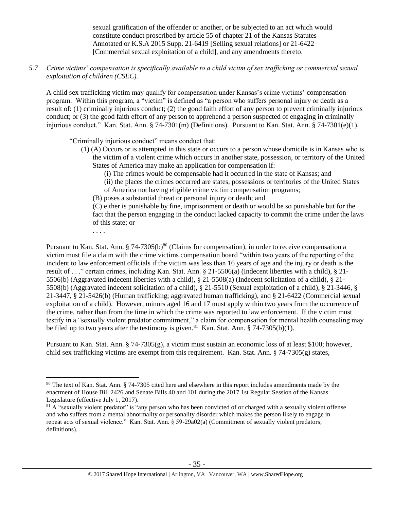sexual gratification of the offender or another, or be subjected to an act which would constitute conduct proscribed by article 55 of chapter 21 of the Kansas Statutes Annotated or K.S.A 2015 Supp. 21-6419 [Selling sexual relations] or 21-6422 [Commercial sexual exploitation of a child], and any amendments thereto.

*5.7 Crime victims' compensation is specifically available to a child victim of sex trafficking or commercial sexual exploitation of children (CSEC).*

A child sex trafficking victim may qualify for compensation under Kansas's crime victims' compensation program. Within this program, a "victim" is defined as "a person who suffers personal injury or death as a result of: (1) criminally injurious conduct; (2) the good faith effort of any person to prevent criminally injurious conduct; or (3) the good faith effort of any person to apprehend a person suspected of engaging in criminally injurious conduct." Kan. Stat. Ann. § 74-7301(m) (Definitions). Pursuant to Kan. Stat. Ann. § 74-7301(e)(1),

"Criminally injurious conduct" means conduct that:

- (1) (A) Occurs or is attempted in this state or occurs to a person whose domicile is in Kansas who is the victim of a violent crime which occurs in another state, possession, or territory of the United States of America may make an application for compensation if:
	- (i) The crimes would be compensable had it occurred in the state of Kansas; and
	- (ii) the places the crimes occurred are states, possessions or territories of the United States
	- of America not having eligible crime victim compensation programs;
	- (B) poses a substantial threat or personal injury or death; and

(C) either is punishable by fine, imprisonment or death or would be so punishable but for the fact that the person engaging in the conduct lacked capacity to commit the crime under the laws of this state; or

. . . .

 $\overline{a}$ 

Pursuant to Kan. Stat. Ann.  $\S 74-7305(b)^{80}$  (Claims for compensation), in order to receive compensation a victim must file a claim with the crime victims compensation board "within two years of the reporting of the incident to law enforcement officials if the victim was less than 16 years of age and the injury or death is the result of . . ." certain crimes, including Kan. Stat. Ann. § 21-5506(a) (Indecent liberties with a child), § 21- 5506(b) (Aggravated indecent liberties with a child), § 21-5508(a) (Indecent solicitation of a child), § 21- 5508(b) (Aggravated indecent solicitation of a child), § 21-5510 (Sexual exploitation of a child), § 21-3446, § 21-3447, § 21-5426(b) (Human trafficking; aggravated human trafficking), and § 21-6422 (Commercial sexual exploitation of a child). However, minors aged 16 and 17 must apply within two years from the occurrence of the crime, rather than from the time in which the crime was reported to law enforcement. If the victim must testify in a "sexually violent predator commitment," a claim for compensation for mental health counseling may be filed up to two years after the testimony is given.<sup>81</sup> Kan. Stat. Ann. § 74-7305(b)(1).

Pursuant to Kan. Stat. Ann. § 74-7305(g), a victim must sustain an economic loss of at least \$100; however, child sex trafficking victims are exempt from this requirement. Kan. Stat. Ann. § 74-7305(g) states,

<sup>80</sup> The text of Kan. Stat. Ann. § 74-7305 cited here and elsewhere in this report includes amendments made by the enactment of House Bill 2426 and Senate Bills 40 and 101 during the 2017 1st Regular Session of the Kansas Legislature (effective July 1, 2017).

 $81$  A "sexually violent predator" is "any person who has been convicted of or charged with a sexually violent offense and who suffers from a mental abnormality or personality disorder which makes the person likely to engage in repeat acts of sexual violence." Kan. Stat. Ann. § 59-29a02(a) (Commitment of sexually violent predators; definitions).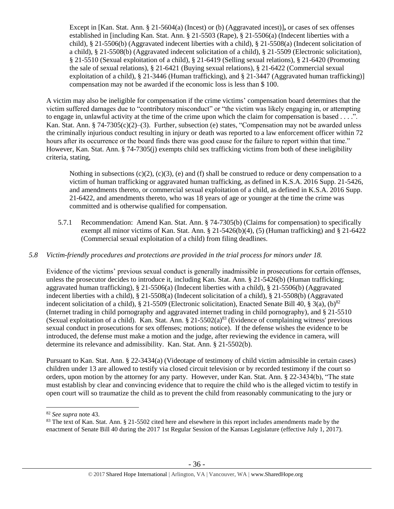Except in [Kan. Stat. Ann. § 21-5604(a) (Incest) or (b) (Aggravated incest)]**,** or cases of sex offenses established in [including Kan. Stat. Ann. § 21-5503 (Rape), § 21-5506(a) (Indecent liberties with a child), § 21-5506(b) (Aggravated indecent liberties with a child), § 21-5508(a) (Indecent solicitation of a child), § 21-5508(b) (Aggravated indecent solicitation of a child), § 21-5509 (Electronic solicitation), § 21-5510 (Sexual exploitation of a child), § 21-6419 (Selling sexual relations), § 21-6420 (Promoting the sale of sexual relations), § 21-6421 (Buying sexual relations), § 21-6422 (Commercial sexual exploitation of a child), § 21-3446 (Human trafficking), and § 21-3447 (Aggravated human trafficking)] compensation may not be awarded if the economic loss is less than \$ 100.

A victim may also be ineligible for compensation if the crime victims' compensation board determines that the victim suffered damages due to "contributory misconduct" or "the victim was likely engaging in, or attempting to engage in, unlawful activity at the time of the crime upon which the claim for compensation is based . . . .". Kan. Stat. Ann. § 74-7305(c)(2)–(3). Further, subsection (e) states, "Compensation may not be awarded unless the criminally injurious conduct resulting in injury or death was reported to a law enforcement officer within 72 hours after its occurrence or the board finds there was good cause for the failure to report within that time." However, Kan. Stat. Ann. § 74-7305(j) exempts child sex trafficking victims from both of these ineligibility criteria, stating,

Nothing in subsections  $(c)(2)$ ,  $(c)(3)$ ,  $(e)$  and (f) shall be construed to reduce or deny compensation to a victim of human trafficking or aggravated human trafficking, as defined in K.S.A. 2016 Supp. 21-5426, and amendments thereto, or commercial sexual exploitation of a child, as defined in K.S.A. 2016 Supp. 21-6422, and amendments thereto, who was 18 years of age or younger at the time the crime was committed and is otherwise qualified for compensation.

5.7.1 Recommendation: Amend Kan. Stat. Ann. § 74-7305(b) (Claims for compensation) to specifically exempt all minor victims of Kan. Stat. Ann.  $\S 21-5426(b)(4)$ , (5) (Human trafficking) and  $\S 21-6422$ (Commercial sexual exploitation of a child) from filing deadlines.

## *5.8 Victim-friendly procedures and protections are provided in the trial process for minors under 18.*

Evidence of the victims' previous sexual conduct is generally inadmissible in prosecutions for certain offenses, unless the prosecutor decides to introduce it, including Kan. Stat. Ann. § 21-5426(b) (Human trafficking; aggravated human trafficking), § 21-5506(a) (Indecent liberties with a child), § 21-5506(b) (Aggravated indecent liberties with a child), § 21-5508(a) (Indecent solicitation of a child), § 21-5508(b) (Aggravated indecent solicitation of a child), § 21-5509 (Electronic solicitation), Enacted Senate Bill 40, § 3(a), (b)<sup>82</sup> (Internet trading in child pornography and aggravated internet trading in child pornography), and § 21-5510 (Sexual exploitation of a child). Kan. Stat. Ann.  $\S 21-5502(a)^{83}$  (Evidence of complaining witness' previous sexual conduct in prosecutions for sex offenses; motions; notice). If the defense wishes the evidence to be introduced, the defense must make a motion and the judge, after reviewing the evidence in camera, will determine its relevance and admissibility. Kan. Stat. Ann. § 21-5502(b).

Pursuant to Kan. Stat. Ann. § 22-3434(a) (Videotape of testimony of child victim admissible in certain cases) children under 13 are allowed to testify via closed circuit television or by recorded testimony if the court so orders, upon motion by the attorney for any party. However, under Kan. Stat. Ann. § 22-3434(b), "The state must establish by clear and convincing evidence that to require the child who is the alleged victim to testify in open court will so traumatize the child as to prevent the child from reasonably communicating to the jury or

<sup>82</sup> *See supra* note [43.](#page-18-0)

<sup>&</sup>lt;sup>83</sup> The text of Kan. Stat. Ann. § 21-5502 cited here and elsewhere in this report includes amendments made by the enactment of Senate Bill 40 during the 2017 1st Regular Session of the Kansas Legislature (effective July 1, 2017).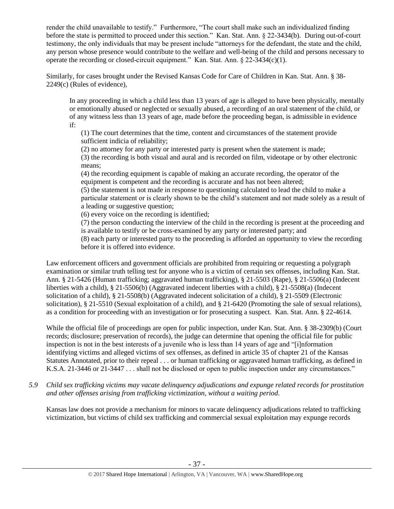render the child unavailable to testify." Furthermore, "The court shall make such an individualized finding before the state is permitted to proceed under this section." Kan. Stat. Ann. § 22-3434(b). During out-of-court testimony, the only individuals that may be present include "attorneys for the defendant, the state and the child, any person whose presence would contribute to the welfare and well-being of the child and persons necessary to operate the recording or closed-circuit equipment." Kan. Stat. Ann. § 22-3434(c)(1).

Similarly, for cases brought under the Revised Kansas Code for Care of Children in Kan. Stat. Ann. § 38- 2249(c) (Rules of evidence),

In any proceeding in which a child less than 13 years of age is alleged to have been physically, mentally or emotionally abused or neglected or sexually abused, a recording of an oral statement of the child, or of any witness less than 13 years of age, made before the proceeding began, is admissible in evidence if:

(1) The court determines that the time, content and circumstances of the statement provide sufficient indicia of reliability;

(2) no attorney for any party or interested party is present when the statement is made; (3) the recording is both visual and aural and is recorded on film, videotape or by other electronic means;

(4) the recording equipment is capable of making an accurate recording, the operator of the equipment is competent and the recording is accurate and has not been altered;

(5) the statement is not made in response to questioning calculated to lead the child to make a particular statement or is clearly shown to be the child's statement and not made solely as a result of a leading or suggestive question;

(6) every voice on the recording is identified;

(7) the person conducting the interview of the child in the recording is present at the proceeding and is available to testify or be cross-examined by any party or interested party; and

(8) each party or interested party to the proceeding is afforded an opportunity to view the recording before it is offered into evidence.

Law enforcement officers and government officials are prohibited from requiring or requesting a polygraph examination or similar truth telling test for anyone who is a victim of certain sex offenses, including Kan. Stat. Ann. § 21-5426 (Human trafficking; aggravated human trafficking), § 21-5503 (Rape), § 21-5506(a) (Indecent liberties with a child), § 21-5506(b) (Aggravated indecent liberties with a child), § 21-5508(a) (Indecent solicitation of a child), § 21-5508(b) (Aggravated indecent solicitation of a child), § 21-5509 (Electronic solicitation), § 21-5510 (Sexual exploitation of a child), and § 21-6420 (Promoting the sale of sexual relations), as a condition for proceeding with an investigation or for prosecuting a suspect. Kan. Stat. Ann. § 22-4614.

While the official file of proceedings are open for public inspection, under Kan. Stat. Ann. § 38-2309(b) (Court records; disclosure; preservation of records), the judge can determine that opening the official file for public inspection is not in the best interests of a juvenile who is less than 14 years of age and "[i]nformation identifying victims and alleged victims of sex offenses, as defined in article 35 of chapter 21 of the Kansas Statutes Annotated, prior to their repeal . . . or human trafficking or aggravated human trafficking, as defined in K.S.A. 21-3446 or 21-3447 . . . shall not be disclosed or open to public inspection under any circumstances."

*5.9 Child sex trafficking victims may vacate delinquency adjudications and expunge related records for prostitution and other offenses arising from trafficking victimization, without a waiting period.*

Kansas law does not provide a mechanism for minors to vacate delinquency adjudications related to trafficking victimization, but victims of child sex trafficking and commercial sexual exploitation may expunge records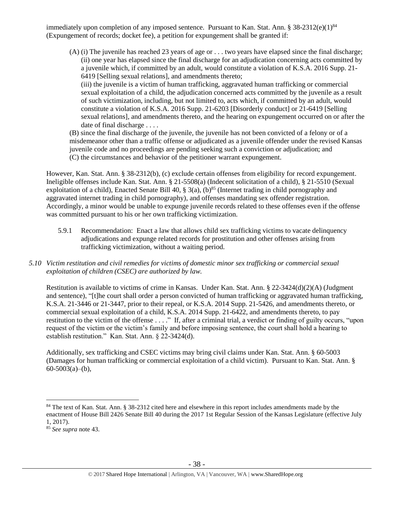immediately upon completion of any imposed sentence. Pursuant to Kan. Stat. Ann. § 38-2312(e)(1)<sup>84</sup> (Expungement of records; docket fee), a petition for expungement shall be granted if:

(A) (i) The juvenile has reached 23 years of age or . . . two years have elapsed since the final discharge; (ii) one year has elapsed since the final discharge for an adjudication concerning acts committed by a juvenile which, if committed by an adult, would constitute a violation of K.S.A. 2016 Supp. 21- 6419 [Selling sexual relations], and amendments thereto;

(iii) the juvenile is a victim of human trafficking, aggravated human trafficking or commercial sexual exploitation of a child, the adjudication concerned acts committed by the juvenile as a result of such victimization, including, but not limited to, acts which, if committed by an adult, would constitute a violation of K.S.A. 2016 Supp. 21-6203 [Disorderly conduct] or 21-6419 [Selling sexual relations], and amendments thereto, and the hearing on expungement occurred on or after the date of final discharge . . . .

(B) since the final discharge of the juvenile, the juvenile has not been convicted of a felony or of a misdemeanor other than a traffic offense or adjudicated as a juvenile offender under the revised Kansas juvenile code and no proceedings are pending seeking such a conviction or adjudication; and (C) the circumstances and behavior of the petitioner warrant expungement.

However, Kan. Stat. Ann. § 38-2312(b), (c) exclude certain offenses from eligibility for record expungement. Ineligible offenses include Kan. Stat. Ann. § 21-5508(a) (Indecent solicitation of a child), § 21-5510 (Sexual exploitation of a child), Enacted Senate Bill 40,  $\S$  3(a), (b)<sup>85</sup> (Internet trading in child pornography and aggravated internet trading in child pornography), and offenses mandating sex offender registration. Accordingly, a minor would be unable to expunge juvenile records related to these offenses even if the offense was committed pursuant to his or her own trafficking victimization.

- 5.9.1 Recommendation: Enact a law that allows child sex trafficking victims to vacate delinquency adjudications and expunge related records for prostitution and other offenses arising from trafficking victimization, without a waiting period.
- *5.10 Victim restitution and civil remedies for victims of domestic minor sex trafficking or commercial sexual exploitation of children (CSEC) are authorized by law.*

Restitution is available to victims of crime in Kansas. Under Kan. Stat. Ann. § 22-3424(d)(2)(A) (Judgment and sentence), "[t]he court shall order a person convicted of human trafficking or aggravated human trafficking, K.S.A. 21-3446 or 21-3447, prior to their repeal, or K.S.A. 2014 Supp. 21-5426, and amendments thereto, or commercial sexual exploitation of a child, K.S.A. 2014 Supp. 21-6422, and amendments thereto, to pay restitution to the victim of the offense . . . ." If, after a criminal trial, a verdict or finding of guilty occurs, "upon request of the victim or the victim's family and before imposing sentence, the court shall hold a hearing to establish restitution." Kan. Stat. Ann. § 22-3424(d).

Additionally, sex trafficking and CSEC victims may bring civil claims under Kan. Stat. Ann. § 60-5003 (Damages for human trafficking or commercial exploitation of a child victim). Pursuant to Kan. Stat. Ann. §  $60-5003(a)$ –(b),

<sup>&</sup>lt;sup>84</sup> The text of Kan. Stat. Ann. § 38-2312 cited here and elsewhere in this report includes amendments made by the enactment of House Bill 2426 Senate Bill 40 during the 2017 1st Regular Session of the Kansas Legislature (effective July 1, 2017).

<sup>85</sup> *See supra* note [43.](#page-18-0)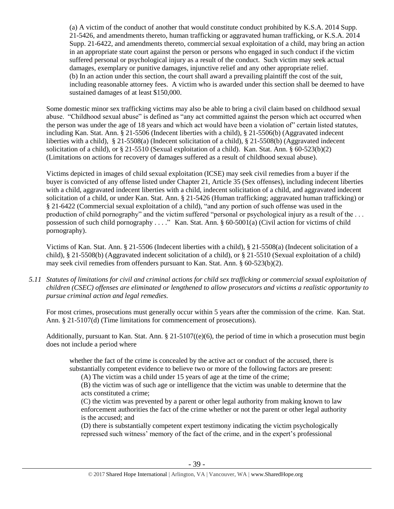(a) A victim of the conduct of another that would constitute conduct prohibited by K.S.A. 2014 Supp. 21-5426, and amendments thereto, human trafficking or aggravated human trafficking, or K.S.A. 2014 Supp. 21-6422, and amendments thereto, commercial sexual exploitation of a child, may bring an action in an appropriate state court against the person or persons who engaged in such conduct if the victim suffered personal or psychological injury as a result of the conduct. Such victim may seek actual damages, exemplary or punitive damages, injunctive relief and any other appropriate relief. (b) In an action under this section, the court shall award a prevailing plaintiff the cost of the suit, including reasonable attorney fees. A victim who is awarded under this section shall be deemed to have sustained damages of at least \$150,000.

Some domestic minor sex trafficking victims may also be able to bring a civil claim based on childhood sexual abuse. "Childhood sexual abuse" is defined as "any act committed against the person which act occurred when the person was under the age of 18 years and which act would have been a violation of" certain listed statutes, including Kan. Stat. Ann. § 21-5506 (Indecent liberties with a child), § 21-5506(b) (Aggravated indecent liberties with a child), § 21-5508(a) (Indecent solicitation of a child), § 21-5508(b) (Aggravated indecent solicitation of a child), or § 21-5510 (Sexual exploitation of a child). Kan. Stat. Ann. § 60-523(b)(2) (Limitations on actions for recovery of damages suffered as a result of childhood sexual abuse).

Victims depicted in images of child sexual exploitation (ICSE) may seek civil remedies from a buyer if the buyer is convicted of any offense listed under Chapter 21, Article 35 (Sex offenses), including indecent liberties with a child, aggravated indecent liberties with a child, indecent solicitation of a child, and aggravated indecent solicitation of a child, or under Kan. Stat. Ann. § 21-5426 (Human trafficking; aggravated human trafficking) or § 21-6422 (Commercial sexual exploitation of a child), "and any portion of such offense was used in the production of child pornography" and the victim suffered "personal or psychological injury as a result of the . . . possession of such child pornography . . . ." Kan. Stat. Ann. § 60-5001(a) (Civil action for victims of child pornography).

Victims of Kan. Stat. Ann. § 21-5506 (Indecent liberties with a child), § 21-5508(a) (Indecent solicitation of a child), § 21-5508(b) (Aggravated indecent solicitation of a child), or § 21-5510 (Sexual exploitation of a child) may seek civil remedies from offenders pursuant to Kan. Stat. Ann. § 60-523(b)(2).

*5.11 Statutes of limitations for civil and criminal actions for child sex trafficking or commercial sexual exploitation of children (CSEC) offenses are eliminated or lengthened to allow prosecutors and victims a realistic opportunity to pursue criminal action and legal remedies.*

For most crimes, prosecutions must generally occur within 5 years after the commission of the crime. Kan. Stat. Ann. § 21-5107(d) (Time limitations for commencement of prosecutions).

Additionally, pursuant to Kan. Stat. Ann. § 21-5107((e)(6), the period of time in which a prosecution must begin does not include a period where

whether the fact of the crime is concealed by the active act or conduct of the accused, there is substantially competent evidence to believe two or more of the following factors are present:

(A) The victim was a child under 15 years of age at the time of the crime;

(B) the victim was of such age or intelligence that the victim was unable to determine that the acts constituted a crime;

(C) the victim was prevented by a parent or other legal authority from making known to law enforcement authorities the fact of the crime whether or not the parent or other legal authority is the accused; and

(D) there is substantially competent expert testimony indicating the victim psychologically repressed such witness' memory of the fact of the crime, and in the expert's professional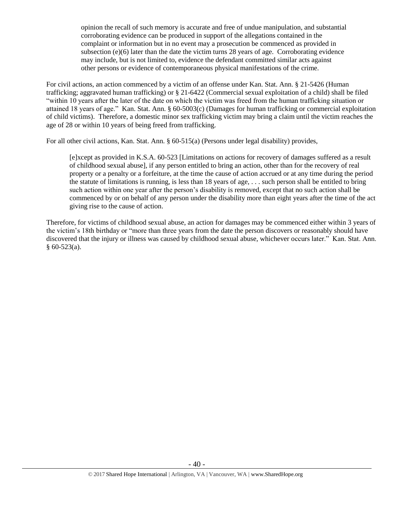opinion the recall of such memory is accurate and free of undue manipulation, and substantial corroborating evidence can be produced in support of the allegations contained in the complaint or information but in no event may a prosecution be commenced as provided in subsection  $(e)(6)$  later than the date the victim turns 28 years of age. Corroborating evidence may include, but is not limited to, evidence the defendant committed similar acts against other persons or evidence of contemporaneous physical manifestations of the crime.

For civil actions, an action commenced by a victim of an offense under Kan. Stat. Ann. § 21-5426 (Human trafficking; aggravated human trafficking) or § 21-6422 (Commercial sexual exploitation of a child) shall be filed "within 10 years after the later of the date on which the victim was freed from the human trafficking situation or attained 18 years of age." Kan. Stat. Ann. § 60-5003(c) (Damages for human trafficking or commercial exploitation of child victims). Therefore, a domestic minor sex trafficking victim may bring a claim until the victim reaches the age of 28 or within 10 years of being freed from trafficking.

For all other civil actions, Kan. Stat. Ann. § 60-515(a) (Persons under legal disability) provides,

[e]xcept as provided in K.S.A. 60-523 [Limitations on actions for recovery of damages suffered as a result of childhood sexual abuse], if any person entitled to bring an action, other than for the recovery of real property or a penalty or a forfeiture, at the time the cause of action accrued or at any time during the period the statute of limitations is running, is less than 18 years of age, . . . such person shall be entitled to bring such action within one year after the person's disability is removed, except that no such action shall be commenced by or on behalf of any person under the disability more than eight years after the time of the act giving rise to the cause of action.

Therefore, for victims of childhood sexual abuse, an action for damages may be commenced either within 3 years of the victim's 18th birthday or "more than three years from the date the person discovers or reasonably should have discovered that the injury or illness was caused by childhood sexual abuse, whichever occurs later." Kan. Stat. Ann.  $§ 60-523(a).$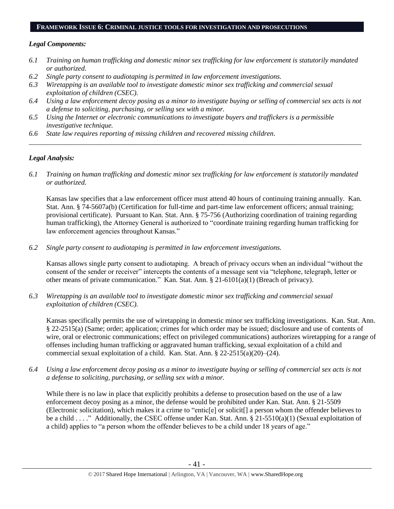#### **FRAMEWORK ISSUE 6: CRIMINAL JUSTICE TOOLS FOR INVESTIGATION AND PROSECUTIONS**

#### *Legal Components:*

- *6.1 Training on human trafficking and domestic minor sex trafficking for law enforcement is statutorily mandated or authorized.*
- *6.2 Single party consent to audiotaping is permitted in law enforcement investigations.*
- *6.3 Wiretapping is an available tool to investigate domestic minor sex trafficking and commercial sexual exploitation of children (CSEC).*
- *6.4 Using a law enforcement decoy posing as a minor to investigate buying or selling of commercial sex acts is not a defense to soliciting, purchasing, or selling sex with a minor.*

*\_\_\_\_\_\_\_\_\_\_\_\_\_\_\_\_\_\_\_\_\_\_\_\_\_\_\_\_\_\_\_\_\_\_\_\_\_\_\_\_\_\_\_\_\_\_\_\_\_\_\_\_\_\_\_\_\_\_\_\_\_\_\_\_\_\_\_\_\_\_\_\_\_\_\_\_\_\_\_\_\_\_\_\_\_\_\_\_\_\_\_\_\_\_*

- *6.5 Using the Internet or electronic communications to investigate buyers and traffickers is a permissible investigative technique.*
- *6.6 State law requires reporting of missing children and recovered missing children.*

## *Legal Analysis:*

*6.1 Training on human trafficking and domestic minor sex trafficking for law enforcement is statutorily mandated or authorized.*

Kansas law specifies that a law enforcement officer must attend 40 hours of continuing training annually. Kan. Stat. Ann. § 74-5607a(b) (Certification for full-time and part-time law enforcement officers; annual training; provisional certificate). Pursuant to Kan. Stat. Ann. § 75-756 (Authorizing coordination of training regarding human trafficking), the Attorney General is authorized to "coordinate training regarding human trafficking for law enforcement agencies throughout Kansas."

*6.2 Single party consent to audiotaping is permitted in law enforcement investigations.*

Kansas allows single party consent to audiotaping. A breach of privacy occurs when an individual "without the consent of the sender or receiver" intercepts the contents of a message sent via "telephone, telegraph, letter or other means of private communication." Kan. Stat. Ann. § 21-6101(a)(1) (Breach of privacy).

*6.3 Wiretapping is an available tool to investigate domestic minor sex trafficking and commercial sexual exploitation of children (CSEC).* 

Kansas specifically permits the use of wiretapping in domestic minor sex trafficking investigations. Kan. Stat. Ann. § 22-2515(a) (Same; order; application; crimes for which order may be issued; disclosure and use of contents of wire, oral or electronic communications; effect on privileged communications) authorizes wiretapping for a range of offenses including human trafficking or aggravated human trafficking, sexual exploitation of a child and commercial sexual exploitation of a child. Kan. Stat. Ann. § 22-2515(a)(20)–(24).

*6.4 Using a law enforcement decoy posing as a minor to investigate buying or selling of commercial sex acts is not a defense to soliciting, purchasing, or selling sex with a minor.*

While there is no law in place that explicitly prohibits a defense to prosecution based on the use of a law enforcement decoy posing as a minor, the defense would be prohibited under Kan. Stat. Ann. § 21-5509 (Electronic solicitation), which makes it a crime to "entic[e] or solicit[] a person whom the offender believes to be a child . . . ." Additionally, the CSEC offense under Kan. Stat. Ann. § 21-5510(a)(1) (Sexual exploitation of a child) applies to "a person whom the offender believes to be a child under 18 years of age."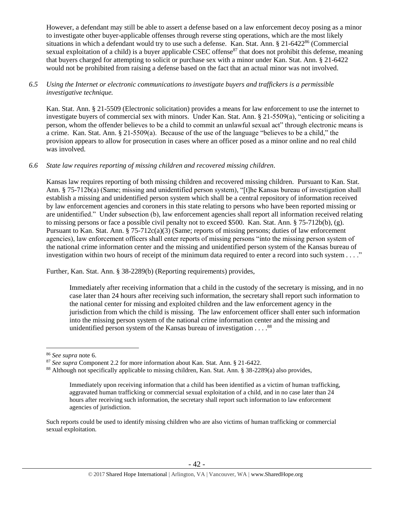However, a defendant may still be able to assert a defense based on a law enforcement decoy posing as a minor to investigate other buyer-applicable offenses through reverse sting operations, which are the most likely situations in which a defendant would try to use such a defense. Kan. Stat. Ann. § 21-6422<sup>86</sup> (Commercial sexual exploitation of a child) is a buyer applicable CSEC offense<sup>87</sup> that does not prohibit this defense, meaning that buyers charged for attempting to solicit or purchase sex with a minor under Kan. Stat. Ann. § 21-6422 would not be prohibited from raising a defense based on the fact that an actual minor was not involved.

## *6.5 Using the Internet or electronic communications to investigate buyers and traffickers is a permissible investigative technique.*

Kan. Stat. Ann. § 21-5509 (Electronic solicitation) provides a means for law enforcement to use the internet to investigate buyers of commercial sex with minors. Under Kan. Stat. Ann. § 21-5509(a), "enticing or soliciting a person, whom the offender believes to be a child to commit an unlawful sexual act" through electronic means is a crime. Kan. Stat. Ann. § 21-5509(a). Because of the use of the language "believes to be a child," the provision appears to allow for prosecution in cases where an officer posed as a minor online and no real child was involved.

## *6.6 State law requires reporting of missing children and recovered missing children.*

Kansas law requires reporting of both missing children and recovered missing children. Pursuant to Kan. Stat. Ann. § 75-712b(a) (Same; missing and unidentified person system), "[t]he Kansas bureau of investigation shall establish a missing and unidentified person system which shall be a central repository of information received by law enforcement agencies and coroners in this state relating to persons who have been reported missing or are unidentified." Under subsection (b), law enforcement agencies shall report all information received relating to missing persons or face a possible civil penalty not to exceed \$500. Kan. Stat. Ann. § 75-712b(b), (g). Pursuant to Kan. Stat. Ann. § 75-712c(a)(3) (Same; reports of missing persons; duties of law enforcement agencies), law enforcement officers shall enter reports of missing persons "into the missing person system of the national crime information center and the missing and unidentified person system of the Kansas bureau of investigation within two hours of receipt of the minimum data required to enter a record into such system . . . ."

Further, Kan. Stat. Ann. § 38-2289(b) (Reporting requirements) provides,

Immediately after receiving information that a child in the custody of the secretary is missing, and in no case later than 24 hours after receiving such information, the secretary shall report such information to the national center for missing and exploited children and the law enforcement agency in the jurisdiction from which the child is missing. The law enforcement officer shall enter such information into the missing person system of the national crime information center and the missing and unidentified person system of the Kansas bureau of investigation  $\dots$ .<sup>88</sup>

<sup>86</sup> *See supra* note [6.](#page-2-0)

<sup>87</sup> *See supra* Component 2.2 for more information about Kan. Stat. Ann. § 21-6422.

<sup>88</sup> Although not specifically applicable to missing children, Kan. Stat. Ann. § 38-2289(a) also provides,

Immediately upon receiving information that a child has been identified as a victim of human trafficking, aggravated human trafficking or commercial sexual exploitation of a child, and in no case later than 24 hours after receiving such information, the secretary shall report such information to law enforcement agencies of jurisdiction.

Such reports could be used to identify missing children who are also victims of human trafficking or commercial sexual exploitation.